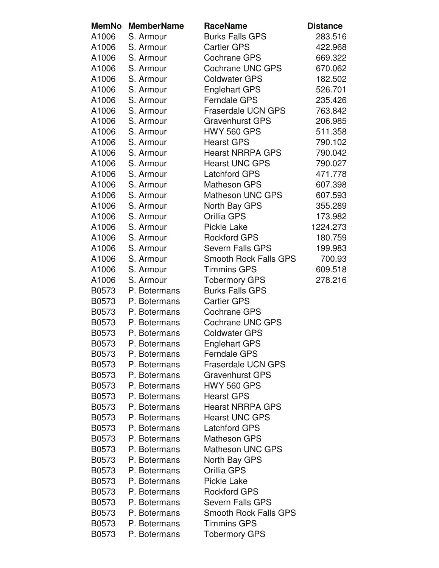| <b>MemNo</b> | <b>MemberName</b> | <b>RaceName</b>              | <b>Distance</b> |
|--------------|-------------------|------------------------------|-----------------|
| A1006        | S. Armour         | <b>Burks Falls GPS</b>       | 283.516         |
| A1006        | S. Armour         | <b>Cartier GPS</b>           | 422.968         |
| A1006        | S. Armour         | <b>Cochrane GPS</b>          | 669.322         |
| A1006        | S. Armour         | <b>Cochrane UNC GPS</b>      | 670.062         |
| A1006        | S. Armour         | <b>Coldwater GPS</b>         | 182.502         |
| A1006        | S. Armour         | <b>Englehart GPS</b>         | 526.701         |
| A1006        | S. Armour         | <b>Ferndale GPS</b>          | 235.426         |
| A1006        | S. Armour         | <b>Fraserdale UCN GPS</b>    | 763.842         |
| A1006        | S. Armour         | <b>Gravenhurst GPS</b>       | 206.985         |
| A1006        | S. Armour         | <b>HWY 560 GPS</b>           | 511.358         |
| A1006        | S. Armour         | <b>Hearst GPS</b>            | 790.102         |
| A1006        | S. Armour         | <b>Hearst NRRPA GPS</b>      | 790.042         |
| A1006        | S. Armour         | <b>Hearst UNC GPS</b>        | 790.027         |
| A1006        | S. Armour         | <b>Latchford GPS</b>         | 471.778         |
| A1006        | S. Armour         | <b>Matheson GPS</b>          | 607.398         |
| A1006        | S. Armour         | Matheson UNC GPS             | 607.593         |
| A1006        | S. Armour         | North Bay GPS                | 355.289         |
| A1006        | S. Armour         | Orillia GPS                  | 173.982         |
| A1006        | S. Armour         | <b>Pickle Lake</b>           | 1224.273        |
| A1006        | S. Armour         | <b>Rockford GPS</b>          | 180.759         |
| A1006        | S. Armour         | <b>Severn Falls GPS</b>      | 199.983         |
| A1006        | S. Armour         | <b>Smooth Rock Falls GPS</b> | 700.93          |
| A1006        | S. Armour         | <b>Timmins GPS</b>           | 609.518         |
| A1006        | S. Armour         | <b>Tobermory GPS</b>         | 278.216         |
| B0573        | P. Botermans      | <b>Burks Falls GPS</b>       |                 |
| B0573        | P. Botermans      | <b>Cartier GPS</b>           |                 |
| B0573        | P. Botermans      | <b>Cochrane GPS</b>          |                 |
| B0573        | P. Botermans      | <b>Cochrane UNC GPS</b>      |                 |
| B0573        | P. Botermans      | <b>Coldwater GPS</b>         |                 |
| B0573        | P. Botermans      | <b>Englehart GPS</b>         |                 |
| B0573        | P. Botermans      | <b>Ferndale GPS</b>          |                 |
| B0573        | P. Botermans      | <b>Fraserdale UCN GPS</b>    |                 |
| B0573        | P. Botermans      | <b>Gravenhurst GPS</b>       |                 |
| B0573        | P. Botermans      | <b>HWY 560 GPS</b>           |                 |
| B0573        | P. Botermans      | <b>Hearst GPS</b>            |                 |
| B0573        | P. Botermans      | <b>Hearst NRRPA GPS</b>      |                 |
| B0573        | P. Botermans      | <b>Hearst UNC GPS</b>        |                 |
| B0573        | P. Botermans      | <b>Latchford GPS</b>         |                 |
| B0573        | P. Botermans      | <b>Matheson GPS</b>          |                 |
| B0573        | P. Botermans      | <b>Matheson UNC GPS</b>      |                 |
| B0573        | P. Botermans      | North Bay GPS                |                 |
| B0573        | P. Botermans      | Orillia GPS                  |                 |
| B0573        | P. Botermans      | <b>Pickle Lake</b>           |                 |
| B0573        | P. Botermans      | <b>Rockford GPS</b>          |                 |
| B0573        | P. Botermans      | <b>Severn Falls GPS</b>      |                 |
| B0573        | P. Botermans      | <b>Smooth Rock Falls GPS</b> |                 |
| B0573        | P. Botermans      | <b>Timmins GPS</b>           |                 |
| B0573        | P. Botermans      | <b>Tobermory GPS</b>         |                 |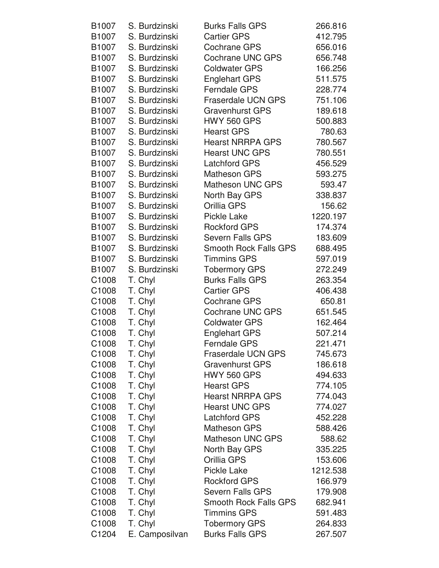| B <sub>1007</sub>                      | S. Burdzinski      | <b>Burks Falls GPS</b>                             | 266.816  |
|----------------------------------------|--------------------|----------------------------------------------------|----------|
| B <sub>1007</sub>                      | S. Burdzinski      | <b>Cartier GPS</b>                                 | 412.795  |
| B1007                                  | S. Burdzinski      | <b>Cochrane GPS</b>                                | 656.016  |
| B1007                                  | S. Burdzinski      | <b>Cochrane UNC GPS</b>                            | 656.748  |
| B1007                                  | S. Burdzinski      | <b>Coldwater GPS</b>                               | 166.256  |
| B1007                                  | S. Burdzinski      | <b>Englehart GPS</b>                               | 511.575  |
| B1007                                  | S. Burdzinski      | <b>Ferndale GPS</b>                                | 228.774  |
| B1007                                  | S. Burdzinski      | <b>Fraserdale UCN GPS</b>                          | 751.106  |
| B1007                                  | S. Burdzinski      | <b>Gravenhurst GPS</b>                             | 189.618  |
| B1007                                  | S. Burdzinski      | <b>HWY 560 GPS</b>                                 | 500.883  |
| B1007                                  | S. Burdzinski      | <b>Hearst GPS</b>                                  | 780.63   |
| B1007                                  | S. Burdzinski      | <b>Hearst NRRPA GPS</b>                            | 780.567  |
| B1007                                  | S. Burdzinski      | <b>Hearst UNC GPS</b>                              | 780.551  |
| B1007                                  | S. Burdzinski      | <b>Latchford GPS</b>                               | 456.529  |
| B1007                                  | S. Burdzinski      | <b>Matheson GPS</b>                                | 593.275  |
| B1007                                  | S. Burdzinski      | <b>Matheson UNC GPS</b>                            | 593.47   |
| B1007                                  | S. Burdzinski      | North Bay GPS                                      | 338.837  |
| B1007                                  | S. Burdzinski      | Orillia GPS                                        | 156.62   |
| B1007                                  | S. Burdzinski      | <b>Pickle Lake</b>                                 | 1220.197 |
| B1007                                  | S. Burdzinski      | <b>Rockford GPS</b>                                | 174.374  |
| B1007                                  | S. Burdzinski      | <b>Severn Falls GPS</b>                            | 183.609  |
| B1007                                  | S. Burdzinski      | <b>Smooth Rock Falls GPS</b>                       | 688.495  |
| B1007                                  | S. Burdzinski      | <b>Timmins GPS</b>                                 | 597.019  |
| B1007                                  | S. Burdzinski      | <b>Tobermory GPS</b>                               | 272.249  |
| C1008                                  | T. Chyl            | <b>Burks Falls GPS</b>                             | 263.354  |
| C1008                                  | T. Chyl            | <b>Cartier GPS</b>                                 | 406.438  |
| C <sub>1008</sub>                      | T. Chyl            | <b>Cochrane GPS</b>                                | 650.81   |
| C <sub>1008</sub>                      | T. Chyl            | Cochrane UNC GPS                                   | 651.545  |
| C1008                                  | T. Chyl            | <b>Coldwater GPS</b>                               | 162.464  |
| C1008                                  | T. Chyl            | <b>Englehart GPS</b>                               | 507.214  |
| C1008                                  | T. Chyl            | <b>Ferndale GPS</b>                                | 221.471  |
| C1008                                  | T. Chyl            | <b>Fraserdale UCN GPS</b>                          | 745.673  |
| C1008                                  | T. Chyl            | <b>Gravenhurst GPS</b>                             | 186.618  |
| C <sub>1008</sub>                      | T. Chyl            | <b>HWY 560 GPS</b>                                 | 494.633  |
| C1008                                  | T. Chyl            | <b>Hearst GPS</b>                                  | 774.105  |
| C1008                                  | T. Chyl            | <b>Hearst NRRPA GPS</b>                            | 774.043  |
| C <sub>1008</sub>                      | T. Chyl            | <b>Hearst UNC GPS</b>                              | 774.027  |
| C1008                                  | T. Chyl            | <b>Latchford GPS</b>                               | 452.228  |
| C <sub>1008</sub>                      | T. Chyl            | <b>Matheson GPS</b>                                | 588.426  |
| C <sub>1008</sub>                      | T. Chyl            | <b>Matheson UNC GPS</b>                            | 588.62   |
| C <sub>1008</sub>                      |                    |                                                    | 335.225  |
| C <sub>1008</sub>                      | T. Chyl<br>T. Chyl | North Bay GPS<br>Orillia GPS                       | 153.606  |
|                                        |                    | <b>Pickle Lake</b>                                 | 1212.538 |
| C <sub>1008</sub><br>C <sub>1008</sub> | T. Chyl<br>T. Chyl | <b>Rockford GPS</b>                                | 166.979  |
| C1008                                  |                    | <b>Severn Falls GPS</b>                            | 179.908  |
|                                        | T. Chyl            |                                                    |          |
| C1008                                  | T. Chyl            | <b>Smooth Rock Falls GPS</b><br><b>Timmins GPS</b> | 682.941  |
| C1008                                  | T. Chyl            |                                                    | 591.483  |
| C <sub>1008</sub>                      | T. Chyl            | <b>Tobermory GPS</b>                               | 264.833  |
| C1204                                  | E. Camposilvan     | <b>Burks Falls GPS</b>                             | 267.507  |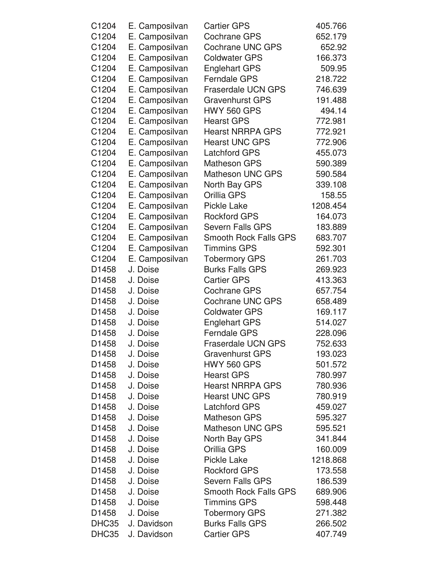| C1204 | E. Camposilvan | <b>Cartier GPS</b>           | 405.766  |
|-------|----------------|------------------------------|----------|
| C1204 | E. Camposilvan | <b>Cochrane GPS</b>          | 652.179  |
| C1204 | E. Camposilvan | <b>Cochrane UNC GPS</b>      | 652.92   |
| C1204 | E. Camposilvan | <b>Coldwater GPS</b>         | 166.373  |
| C1204 | E. Camposilvan | <b>Englehart GPS</b>         | 509.95   |
| C1204 | E. Camposilvan | <b>Ferndale GPS</b>          | 218.722  |
| C1204 | E. Camposilvan | <b>Fraserdale UCN GPS</b>    | 746.639  |
| C1204 | E. Camposilvan | <b>Gravenhurst GPS</b>       | 191.488  |
| C1204 | E. Camposilvan | <b>HWY 560 GPS</b>           | 494.14   |
| C1204 | E. Camposilvan | <b>Hearst GPS</b>            | 772.981  |
| C1204 | E. Camposilvan | <b>Hearst NRRPA GPS</b>      | 772.921  |
| C1204 | E. Camposilvan | <b>Hearst UNC GPS</b>        | 772.906  |
| C1204 | E. Camposilvan | <b>Latchford GPS</b>         | 455.073  |
| C1204 | E. Camposilvan | <b>Matheson GPS</b>          | 590.389  |
| C1204 | E. Camposilvan | <b>Matheson UNC GPS</b>      | 590.584  |
| C1204 | E. Camposilvan | North Bay GPS                | 339.108  |
| C1204 | E. Camposilvan | Orillia GPS                  | 158.55   |
| C1204 | E. Camposilvan | <b>Pickle Lake</b>           | 1208.454 |
| C1204 | E. Camposilvan | <b>Rockford GPS</b>          | 164.073  |
| C1204 | E. Camposilvan | <b>Severn Falls GPS</b>      | 183.889  |
| C1204 | E. Camposilvan | <b>Smooth Rock Falls GPS</b> | 683.707  |
| C1204 | E. Camposilvan | <b>Timmins GPS</b>           | 592.301  |
| C1204 | E. Camposilvan | <b>Tobermory GPS</b>         | 261.703  |
| D1458 | J. Doise       | <b>Burks Falls GPS</b>       | 269.923  |
| D1458 | J. Doise       | <b>Cartier GPS</b>           | 413.363  |
| D1458 | J. Doise       | <b>Cochrane GPS</b>          | 657.754  |
| D1458 | J. Doise       | <b>Cochrane UNC GPS</b>      | 658.489  |
| D1458 | J. Doise       | <b>Coldwater GPS</b>         | 169.117  |
| D1458 | J. Doise       | <b>Englehart GPS</b>         | 514.027  |
| D1458 | J. Doise       | Ferndale GPS                 | 228.096  |
| D1458 | J. Doise       | Fraserdale UCN GPS           | 752.633  |
| D1458 | J. Doise       | <b>Gravenhurst GPS</b>       | 193.023  |
| D1458 | J. Doise       | <b>HWY 560 GPS</b>           | 501.572  |
| D1458 | J. Doise       | <b>Hearst GPS</b>            | 780.997  |
| D1458 | J. Doise       | <b>Hearst NRRPA GPS</b>      | 780.936  |
| D1458 | J. Doise       | <b>Hearst UNC GPS</b>        | 780.919  |
| D1458 | J. Doise       | <b>Latchford GPS</b>         | 459.027  |
| D1458 | J. Doise       | <b>Matheson GPS</b>          | 595.327  |
| D1458 | J. Doise       | <b>Matheson UNC GPS</b>      | 595.521  |
| D1458 | J. Doise       | North Bay GPS                | 341.844  |
| D1458 | J. Doise       | Orillia GPS                  | 160.009  |
| D1458 | J. Doise       | <b>Pickle Lake</b>           | 1218.868 |
| D1458 | J. Doise       | <b>Rockford GPS</b>          | 173.558  |
| D1458 | J. Doise       | <b>Severn Falls GPS</b>      | 186.539  |
| D1458 | J. Doise       | <b>Smooth Rock Falls GPS</b> | 689.906  |
| D1458 | J. Doise       | <b>Timmins GPS</b>           | 598.448  |
| D1458 | J. Doise       | <b>Tobermory GPS</b>         | 271.382  |
| DHC35 | J. Davidson    | <b>Burks Falls GPS</b>       | 266.502  |
| DHC35 | J. Davidson    | <b>Cartier GPS</b>           | 407.749  |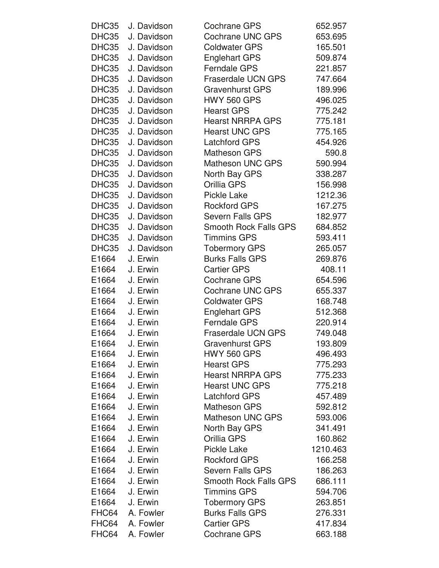| DHC35 | J. Davidson | <b>Cochrane GPS</b>          | 652.957  |
|-------|-------------|------------------------------|----------|
| DHC35 | J. Davidson | <b>Cochrane UNC GPS</b>      | 653.695  |
| DHC35 | J. Davidson | <b>Coldwater GPS</b>         | 165.501  |
| DHC35 | J. Davidson | <b>Englehart GPS</b>         | 509.874  |
| DHC35 | J. Davidson | <b>Ferndale GPS</b>          | 221.857  |
| DHC35 | J. Davidson | <b>Fraserdale UCN GPS</b>    | 747.664  |
| DHC35 | J. Davidson | <b>Gravenhurst GPS</b>       | 189.996  |
| DHC35 | J. Davidson | <b>HWY 560 GPS</b>           | 496.025  |
| DHC35 | J. Davidson | <b>Hearst GPS</b>            | 775.242  |
| DHC35 | J. Davidson | <b>Hearst NRRPA GPS</b>      | 775.181  |
| DHC35 | J. Davidson | <b>Hearst UNC GPS</b>        | 775.165  |
| DHC35 | J. Davidson | <b>Latchford GPS</b>         | 454.926  |
| DHC35 | J. Davidson | <b>Matheson GPS</b>          | 590.8    |
| DHC35 | J. Davidson | <b>Matheson UNC GPS</b>      | 590.994  |
| DHC35 | J. Davidson | North Bay GPS                | 338.287  |
| DHC35 | J. Davidson | Orillia GPS                  | 156.998  |
| DHC35 | J. Davidson | Pickle Lake                  | 1212.36  |
| DHC35 | J. Davidson | <b>Rockford GPS</b>          | 167.275  |
| DHC35 | J. Davidson | <b>Severn Falls GPS</b>      | 182.977  |
| DHC35 | J. Davidson | <b>Smooth Rock Falls GPS</b> | 684.852  |
| DHC35 | J. Davidson | <b>Timmins GPS</b>           | 593.411  |
| DHC35 | J. Davidson | <b>Tobermory GPS</b>         | 265.057  |
| E1664 | J. Erwin    | <b>Burks Falls GPS</b>       | 269.876  |
| E1664 | J. Erwin    | <b>Cartier GPS</b>           | 408.11   |
| E1664 | J. Erwin    | <b>Cochrane GPS</b>          | 654.596  |
| E1664 | J. Erwin    | <b>Cochrane UNC GPS</b>      | 655.337  |
| E1664 | J. Erwin    | <b>Coldwater GPS</b>         | 168.748  |
| E1664 | J. Erwin    | <b>Englehart GPS</b>         | 512.368  |
| E1664 | J. Erwin    | <b>Ferndale GPS</b>          | 220.914  |
| E1664 | J. Erwin    | <b>Fraserdale UCN GPS</b>    | 749.048  |
| E1664 | J. Erwin    | <b>Gravenhurst GPS</b>       | 193.809  |
| E1664 | J. Erwin    | <b>HWY 560 GPS</b>           | 496.493  |
| E1664 | J. Erwin    | <b>Hearst GPS</b>            | 775.293  |
| E1664 | J. Erwin    | <b>Hearst NRRPA GPS</b>      | 775.233  |
| E1664 | J. Erwin    | <b>Hearst UNC GPS</b>        | 775.218  |
| E1664 | J. Erwin    | <b>Latchford GPS</b>         | 457.489  |
| E1664 | J. Erwin    | <b>Matheson GPS</b>          | 592.812  |
| E1664 | J. Erwin    | <b>Matheson UNC GPS</b>      | 593.006  |
| E1664 | J. Erwin    | North Bay GPS                | 341.491  |
| E1664 | J. Erwin    | Orillia GPS                  | 160.862  |
| E1664 | J. Erwin    | Pickle Lake                  | 1210.463 |
| E1664 | J. Erwin    | <b>Rockford GPS</b>          | 166.258  |
| E1664 | J. Erwin    | Severn Falls GPS             | 186.263  |
| E1664 | J. Erwin    | <b>Smooth Rock Falls GPS</b> | 686.111  |
| E1664 | J. Erwin    | <b>Timmins GPS</b>           | 594.706  |
| E1664 | J. Erwin    | <b>Tobermory GPS</b>         | 263.851  |
| FHC64 | A. Fowler   | <b>Burks Falls GPS</b>       | 276.331  |
| FHC64 | A. Fowler   | <b>Cartier GPS</b>           | 417.834  |
| FHC64 | A. Fowler   | <b>Cochrane GPS</b>          | 663.188  |
|       |             |                              |          |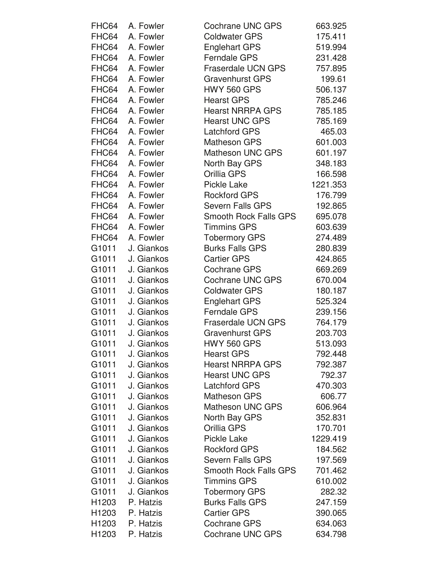| FHC64             | A. Fowler  | Cochrane UNC GPS             | 663.925  |
|-------------------|------------|------------------------------|----------|
| FHC64             | A. Fowler  | <b>Coldwater GPS</b>         | 175.411  |
| FHC64             | A. Fowler  | <b>Englehart GPS</b>         | 519.994  |
| FHC64             | A. Fowler  | <b>Ferndale GPS</b>          | 231.428  |
| FHC64             | A. Fowler  | <b>Fraserdale UCN GPS</b>    | 757.895  |
| FHC64             | A. Fowler  | <b>Gravenhurst GPS</b>       | 199.61   |
| FHC64             | A. Fowler  | <b>HWY 560 GPS</b>           | 506.137  |
| FHC64             | A. Fowler  | <b>Hearst GPS</b>            | 785.246  |
| FHC64             | A. Fowler  | <b>Hearst NRRPA GPS</b>      | 785.185  |
| FHC64             | A. Fowler  | <b>Hearst UNC GPS</b>        | 785.169  |
| FHC64             | A. Fowler  | <b>Latchford GPS</b>         | 465.03   |
| FHC64             | A. Fowler  | <b>Matheson GPS</b>          | 601.003  |
| FHC64             | A. Fowler  | <b>Matheson UNC GPS</b>      | 601.197  |
| FHC64             | A. Fowler  | North Bay GPS                | 348.183  |
| FHC64             | A. Fowler  | Orillia GPS                  | 166.598  |
| FHC64             | A. Fowler  | <b>Pickle Lake</b>           | 1221.353 |
| FHC64             | A. Fowler  | <b>Rockford GPS</b>          | 176.799  |
| FHC64             | A. Fowler  | <b>Severn Falls GPS</b>      | 192.865  |
| FHC64             | A. Fowler  | <b>Smooth Rock Falls GPS</b> | 695.078  |
| FHC64             | A. Fowler  | <b>Timmins GPS</b>           | 603.639  |
| FHC64             | A. Fowler  | <b>Tobermory GPS</b>         | 274.489  |
| G1011             | J. Giankos | <b>Burks Falls GPS</b>       | 280.839  |
| G1011             | J. Giankos | <b>Cartier GPS</b>           | 424.865  |
| G1011             | J. Giankos | <b>Cochrane GPS</b>          | 669.269  |
| G1011             | J. Giankos | <b>Cochrane UNC GPS</b>      | 670.004  |
| G1011             | J. Giankos | <b>Coldwater GPS</b>         | 180.187  |
| G1011             | J. Giankos | <b>Englehart GPS</b>         | 525.324  |
| G1011             | J. Giankos | <b>Ferndale GPS</b>          | 239.156  |
| G1011             | J. Giankos | <b>Fraserdale UCN GPS</b>    | 764.179  |
| G1011             | J. Giankos | <b>Gravenhurst GPS</b>       | 203.703  |
| G1011             | J. Giankos | <b>HWY 560 GPS</b>           | 513.093  |
| G1011             | J. Giankos | <b>Hearst GPS</b>            | 792.448  |
| G1011             | J. Giankos | <b>Hearst NRRPA GPS</b>      | 792.387  |
| G1011             | J. Giankos | <b>Hearst UNC GPS</b>        | 792.37   |
| G1011             | J. Giankos | <b>Latchford GPS</b>         | 470.303  |
| G1011             | J. Giankos | <b>Matheson GPS</b>          | 606.77   |
| G1011             | J. Giankos | <b>Matheson UNC GPS</b>      | 606.964  |
| G1011             | J. Giankos | North Bay GPS                | 352.831  |
| G1011             | J. Giankos | Orillia GPS                  | 170.701  |
| G1011             | J. Giankos | <b>Pickle Lake</b>           | 1229.419 |
| G1011             | J. Giankos | <b>Rockford GPS</b>          | 184.562  |
| G1011             | J. Giankos | <b>Severn Falls GPS</b>      | 197.569  |
| G1011             | J. Giankos | Smooth Rock Falls GPS        | 701.462  |
| G1011             | J. Giankos | <b>Timmins GPS</b>           | 610.002  |
| G1011             | J. Giankos | <b>Tobermory GPS</b>         | 282.32   |
| H <sub>1203</sub> | P. Hatzis  | <b>Burks Falls GPS</b>       | 247.159  |
| H1203             | P. Hatzis  | <b>Cartier GPS</b>           | 390.065  |
| H1203             | P. Hatzis  | <b>Cochrane GPS</b>          | 634.063  |
| H1203             | P. Hatzis  | <b>Cochrane UNC GPS</b>      | 634.798  |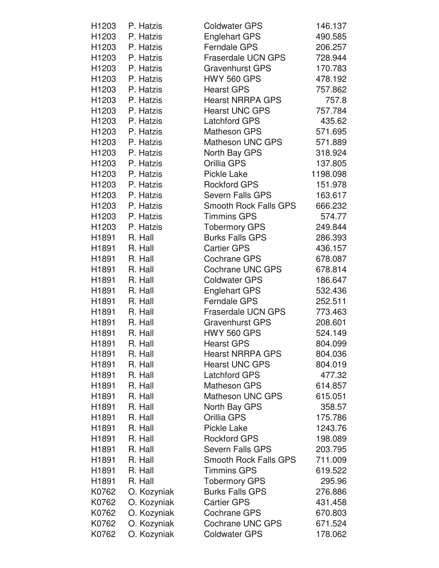| H1203             | P. Hatzis       | <b>Coldwater GPS</b>         | 146.137  |
|-------------------|-----------------|------------------------------|----------|
| H1203             | P. Hatzis       | <b>Englehart GPS</b>         | 490.585  |
| H1203             | P. Hatzis       | <b>Ferndale GPS</b>          | 206.257  |
| H1203             | P. Hatzis       | <b>Fraserdale UCN GPS</b>    | 728.944  |
| H1203             | P. Hatzis       | <b>Gravenhurst GPS</b>       | 170.783  |
|                   | H1203 P. Hatzis | <b>HWY 560 GPS</b>           | 478.192  |
| H1203             | P. Hatzis       | <b>Hearst GPS</b>            | 757.862  |
| H1203             | P. Hatzis       | <b>Hearst NRRPA GPS</b>      | 757.8    |
| H1203             | P. Hatzis       | <b>Hearst UNC GPS</b>        | 757.784  |
|                   | H1203 P. Hatzis | <b>Latchford GPS</b>         | 435.62   |
|                   | H1203 P. Hatzis | <b>Matheson GPS</b>          | 571.695  |
| H1203             | P. Hatzis       | Matheson UNC GPS             | 571.889  |
| H1203             | P. Hatzis       | North Bay GPS                | 318.924  |
| H1203             | P. Hatzis       | Orillia GPS                  | 137.805  |
|                   | H1203 P. Hatzis | Pickle Lake                  | 1198.098 |
| H1203             | P. Hatzis       | <b>Rockford GPS</b>          | 151.978  |
| H1203             | P. Hatzis       | Severn Falls GPS             | 163.617  |
| H1203             | P. Hatzis       | <b>Smooth Rock Falls GPS</b> | 666.232  |
|                   | H1203 P. Hatzis | <b>Timmins GPS</b>           | 574.77   |
| H1203             | P. Hatzis       | <b>Tobermory GPS</b>         | 249.844  |
| H1891             | R. Hall         | <b>Burks Falls GPS</b>       | 286.393  |
| H1891             | R. Hall         | <b>Cartier GPS</b>           | 436.157  |
| H1891             | R. Hall         | Cochrane GPS                 | 678.087  |
| H1891             | R. Hall         | Cochrane UNC GPS             | 678.814  |
| H1891             | R. Hall         | <b>Coldwater GPS</b>         | 186.647  |
| H1891             | R. Hall         | <b>Englehart GPS</b>         | 532.436  |
| H1891             | R. Hall         | <b>Ferndale GPS</b>          | 252.511  |
| H1891             | R. Hall         | Fraserdale UCN GPS           | 773.463  |
| H1891             | R. Hall         | <b>Gravenhurst GPS</b>       | 208.601  |
| H1891             | R. Hall         | <b>HWY 560 GPS</b>           | 524.149  |
| H1891             | R. Hall         | <b>Hearst GPS</b>            | 804.099  |
| H1891             | R. Hall         | <b>Hearst NRRPA GPS</b>      | 804.036  |
| H <sub>1891</sub> | R. Hall         | <b>Hearst UNC GPS</b>        | 804.019  |
| H <sub>1891</sub> | R. Hall         | <b>Latchford GPS</b>         | 477.32   |
| H1891             | R. Hall         | <b>Matheson GPS</b>          | 614.857  |
| H1891             | R. Hall         | <b>Matheson UNC GPS</b>      | 615.051  |
| H1891             | R. Hall         | North Bay GPS                | 358.57   |
| H1891             | R. Hall         | Orillia GPS                  | 175.786  |
| H1891             | R. Hall         | <b>Pickle Lake</b>           | 1243.76  |
| H1891             | R. Hall         | <b>Rockford GPS</b>          | 198.089  |
| H1891             | R. Hall         | <b>Severn Falls GPS</b>      | 203.795  |
| H1891             | R. Hall         | <b>Smooth Rock Falls GPS</b> | 711.009  |
| H1891             | R. Hall         | <b>Timmins GPS</b>           | 619.522  |
| H1891             | R. Hall         | <b>Tobermory GPS</b>         | 295.96   |
| K0762             | O. Kozyniak     | <b>Burks Falls GPS</b>       | 276.886  |
| K0762             | O. Kozyniak     | <b>Cartier GPS</b>           | 431.458  |
| K0762             | O. Kozyniak     | <b>Cochrane GPS</b>          | 670.803  |
| K0762             | O. Kozyniak     | <b>Cochrane UNC GPS</b>      | 671.524  |
| K0762             | O. Kozyniak     | <b>Coldwater GPS</b>         | 178.062  |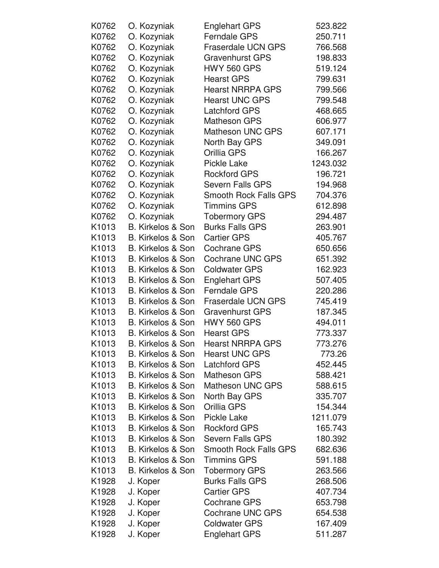| K0762             | O. Kozyniak                  | <b>Englehart GPS</b>         | 523.822  |
|-------------------|------------------------------|------------------------------|----------|
| K0762             | O. Kozyniak                  | <b>Ferndale GPS</b>          | 250.711  |
| K0762             | O. Kozyniak                  | <b>Fraserdale UCN GPS</b>    | 766.568  |
| K0762             | O. Kozyniak                  | <b>Gravenhurst GPS</b>       | 198.833  |
| K0762             | O. Kozyniak                  | <b>HWY 560 GPS</b>           | 519.124  |
| K0762             | O. Kozyniak                  | <b>Hearst GPS</b>            | 799.631  |
| K0762             | O. Kozyniak                  | <b>Hearst NRRPA GPS</b>      | 799.566  |
| K0762             | O. Kozyniak                  | <b>Hearst UNC GPS</b>        | 799.548  |
| K0762             | O. Kozyniak                  | <b>Latchford GPS</b>         | 468.665  |
| K0762             | O. Kozyniak                  | <b>Matheson GPS</b>          | 606.977  |
| K0762             | O. Kozyniak                  | <b>Matheson UNC GPS</b>      | 607.171  |
| K0762             | O. Kozyniak                  | North Bay GPS                | 349.091  |
| K0762             | O. Kozyniak                  | Orillia GPS                  | 166.267  |
| K0762             | O. Kozyniak                  | <b>Pickle Lake</b>           | 1243.032 |
| K0762             | O. Kozyniak                  | <b>Rockford GPS</b>          | 196.721  |
| K0762             | O. Kozyniak                  | <b>Severn Falls GPS</b>      | 194.968  |
| K0762             | O. Kozyniak                  | <b>Smooth Rock Falls GPS</b> | 704.376  |
| K0762             | O. Kozyniak                  | <b>Timmins GPS</b>           | 612.898  |
| K0762             | O. Kozyniak                  | <b>Tobermory GPS</b>         | 294.487  |
| K1013             | B. Kirkelos & Son            | <b>Burks Falls GPS</b>       | 263.901  |
| K1013             | <b>B. Kirkelos &amp; Son</b> | <b>Cartier GPS</b>           | 405.767  |
| K1013             | B. Kirkelos & Son            | <b>Cochrane GPS</b>          | 650.656  |
| K1013             | <b>B. Kirkelos &amp; Son</b> | <b>Cochrane UNC GPS</b>      | 651.392  |
| K1013             | B. Kirkelos & Son            | <b>Coldwater GPS</b>         | 162.923  |
| K1013             | B. Kirkelos & Son            | <b>Englehart GPS</b>         | 507.405  |
| K1013             | B. Kirkelos & Son            | <b>Ferndale GPS</b>          | 220.286  |
| K1013             | B. Kirkelos & Son            | <b>Fraserdale UCN GPS</b>    | 745.419  |
| K <sub>1013</sub> | B. Kirkelos & Son            | <b>Gravenhurst GPS</b>       | 187.345  |
| K1013             | B. Kirkelos & Son            | <b>HWY 560 GPS</b>           | 494.011  |
| K1013             | B. Kirkelos & Son            | <b>Hearst GPS</b>            | 773.337  |
| K1013             | <b>B. Kirkelos &amp; Son</b> | <b>Hearst NRRPA GPS</b>      | 773.276  |
| K1013             | B. Kirkelos & Son            | <b>Hearst UNC GPS</b>        | 773.26   |
| K <sub>1013</sub> | B. Kirkelos & Son            | <b>Latchford GPS</b>         | 452.445  |
| K1013             | B. Kirkelos & Son            | <b>Matheson GPS</b>          | 588.421  |
| K1013             | B. Kirkelos & Son            | <b>Matheson UNC GPS</b>      | 588.615  |
| K1013             | B. Kirkelos & Son            | North Bay GPS                | 335.707  |
| K <sub>1013</sub> | B. Kirkelos & Son            | Orillia GPS                  | 154.344  |
| K <sub>1013</sub> | B. Kirkelos & Son            | <b>Pickle Lake</b>           | 1211.079 |
| K1013             | B. Kirkelos & Son            | <b>Rockford GPS</b>          | 165.743  |
| K <sub>1013</sub> | B. Kirkelos & Son            | Severn Falls GPS             | 180.392  |
| K <sub>1013</sub> | B. Kirkelos & Son            | <b>Smooth Rock Falls GPS</b> | 682.636  |
| K <sub>1013</sub> | B. Kirkelos & Son            | <b>Timmins GPS</b>           | 591.188  |
| K1013             | B. Kirkelos & Son            | <b>Tobermory GPS</b>         | 263.566  |
| K <sub>1928</sub> | J. Koper                     | <b>Burks Falls GPS</b>       | 268.506  |
| K1928             | J. Koper                     | <b>Cartier GPS</b>           | 407.734  |
| K <sub>1928</sub> | J. Koper                     | <b>Cochrane GPS</b>          | 653.798  |
| K <sub>1928</sub> | J. Koper                     | <b>Cochrane UNC GPS</b>      | 654.538  |
| K1928             | J. Koper                     | <b>Coldwater GPS</b>         | 167.409  |
| K1928             | J. Koper                     | <b>Englehart GPS</b>         | 511.287  |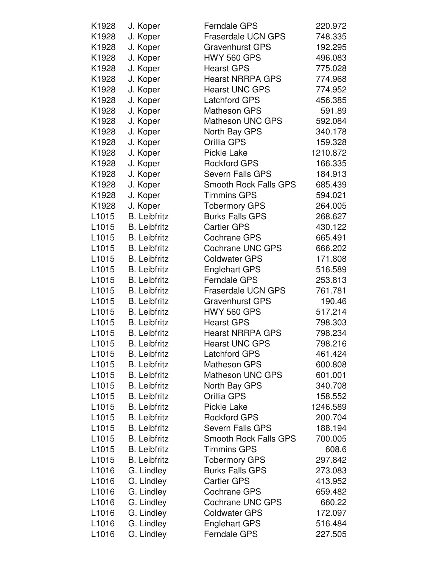| K1928             | J. Koper            | <b>Ferndale GPS</b>          | 220.972  |
|-------------------|---------------------|------------------------------|----------|
| K1928             | J. Koper            | <b>Fraserdale UCN GPS</b>    | 748.335  |
| K1928             | J. Koper            | <b>Gravenhurst GPS</b>       | 192.295  |
| K1928             | J. Koper            | <b>HWY 560 GPS</b>           | 496.083  |
| K1928             | J. Koper            | <b>Hearst GPS</b>            | 775.028  |
| K1928             | J. Koper            | <b>Hearst NRRPA GPS</b>      | 774.968  |
| K1928             | J. Koper            | <b>Hearst UNC GPS</b>        | 774.952  |
| K1928             | J. Koper            | <b>Latchford GPS</b>         | 456.385  |
| K1928             | J. Koper            | <b>Matheson GPS</b>          | 591.89   |
| K1928             | J. Koper            | <b>Matheson UNC GPS</b>      | 592.084  |
| K1928             | J. Koper            | North Bay GPS                | 340.178  |
| K1928             | J. Koper            | Orillia GPS                  | 159.328  |
| K1928             | J. Koper            | Pickle Lake                  | 1210.872 |
| K1928             | J. Koper            | <b>Rockford GPS</b>          | 166.335  |
| K1928             | J. Koper            | <b>Severn Falls GPS</b>      | 184.913  |
| K1928             | J. Koper            | <b>Smooth Rock Falls GPS</b> | 685.439  |
| K1928             | J. Koper            | <b>Timmins GPS</b>           | 594.021  |
| K1928             | J. Koper            | <b>Tobermory GPS</b>         | 264.005  |
| L <sub>1015</sub> | <b>B.</b> Leibfritz | <b>Burks Falls GPS</b>       | 268.627  |
| L <sub>1015</sub> | <b>B.</b> Leibfritz | <b>Cartier GPS</b>           | 430.122  |
| L <sub>1015</sub> | <b>B.</b> Leibfritz | Cochrane GPS                 | 665.491  |
| L <sub>1015</sub> | <b>B.</b> Leibfritz | <b>Cochrane UNC GPS</b>      | 666.202  |
| L1015             | <b>B.</b> Leibfritz | <b>Coldwater GPS</b>         | 171.808  |
| L1015             | <b>B.</b> Leibfritz | <b>Englehart GPS</b>         | 516.589  |
| L <sub>1015</sub> | <b>B.</b> Leibfritz | <b>Ferndale GPS</b>          | 253.813  |
| L <sub>1015</sub> | <b>B.</b> Leibfritz | <b>Fraserdale UCN GPS</b>    | 761.781  |
| L <sub>1015</sub> | <b>B.</b> Leibfritz | <b>Gravenhurst GPS</b>       | 190.46   |
| L <sub>1015</sub> | <b>B.</b> Leibfritz | <b>HWY 560 GPS</b>           | 517.214  |
| L1015             | <b>B.</b> Leibfritz | <b>Hearst GPS</b>            | 798.303  |
| L <sub>1015</sub> | <b>B.</b> Leibfritz | <b>Hearst NRRPA GPS</b>      | 798.234  |
| L1015             | <b>B.</b> Leibfritz | <b>Hearst UNC GPS</b>        | 798.216  |
| L <sub>1015</sub> | <b>B.</b> Leibfritz | <b>Latchford GPS</b>         | 461.424  |
| L <sub>1015</sub> | <b>B.</b> Leibfritz | <b>Matheson GPS</b>          | 600.808  |
| L <sub>1015</sub> | <b>B.</b> Leibfritz | <b>Matheson UNC GPS</b>      | 601.001  |
| L <sub>1015</sub> | <b>B.</b> Leibfritz | North Bay GPS                | 340.708  |
| L <sub>1015</sub> | <b>B.</b> Leibfritz | Orillia GPS                  | 158.552  |
| L <sub>1015</sub> | <b>B.</b> Leibfritz | Pickle Lake                  | 1246.589 |
| L <sub>1015</sub> | <b>B.</b> Leibfritz | <b>Rockford GPS</b>          | 200.704  |
| L <sub>1015</sub> | <b>B.</b> Leibfritz | <b>Severn Falls GPS</b>      | 188.194  |
| L <sub>1015</sub> | <b>B.</b> Leibfritz | <b>Smooth Rock Falls GPS</b> | 700.005  |
| L <sub>1015</sub> | <b>B.</b> Leibfritz | <b>Timmins GPS</b>           | 608.6    |
| L <sub>1015</sub> | <b>B.</b> Leibfritz | <b>Tobermory GPS</b>         | 297.842  |
| L <sub>1016</sub> | G. Lindley          | <b>Burks Falls GPS</b>       | 273.083  |
| L <sub>1016</sub> | G. Lindley          | <b>Cartier GPS</b>           | 413.952  |
| L <sub>1016</sub> | G. Lindley          | Cochrane GPS                 | 659.482  |
| L <sub>1016</sub> | G. Lindley          | <b>Cochrane UNC GPS</b>      | 660.22   |
| L <sub>1016</sub> | G. Lindley          | <b>Coldwater GPS</b>         | 172.097  |
| L <sub>1016</sub> | G. Lindley          | <b>Englehart GPS</b>         | 516.484  |
| L1016             | G. Lindley          | <b>Ferndale GPS</b>          | 227.505  |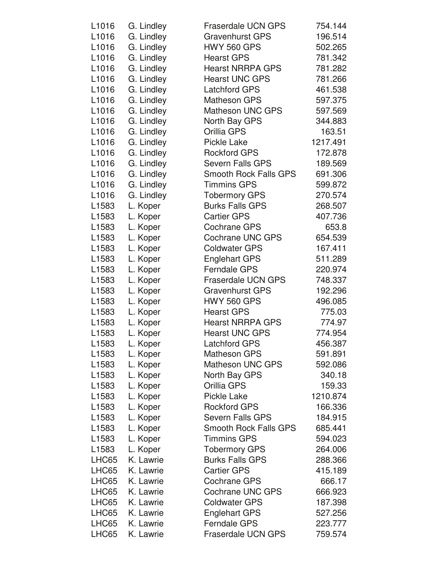| L1016             | G. Lindley | <b>Fraserdale UCN GPS</b>    | 754.144  |
|-------------------|------------|------------------------------|----------|
| L1016             | G. Lindley | <b>Gravenhurst GPS</b>       | 196.514  |
| L <sub>1016</sub> | G. Lindley | <b>HWY 560 GPS</b>           | 502.265  |
| L1016             | G. Lindley | <b>Hearst GPS</b>            | 781.342  |
| L1016             | G. Lindley | <b>Hearst NRRPA GPS</b>      | 781.282  |
| L <sub>1016</sub> | G. Lindley | <b>Hearst UNC GPS</b>        | 781.266  |
| L1016             | G. Lindley | <b>Latchford GPS</b>         | 461.538  |
| L1016             | G. Lindley | <b>Matheson GPS</b>          | 597.375  |
| L <sub>1016</sub> | G. Lindley | <b>Matheson UNC GPS</b>      | 597.569  |
| L1016             | G. Lindley | North Bay GPS                | 344.883  |
| L1016             | G. Lindley | Orillia GPS                  | 163.51   |
| L1016             | G. Lindley | <b>Pickle Lake</b>           | 1217.491 |
| L1016             | G. Lindley | <b>Rockford GPS</b>          | 172.878  |
| L <sub>1016</sub> | G. Lindley | <b>Severn Falls GPS</b>      | 189.569  |
| L1016             | G. Lindley | <b>Smooth Rock Falls GPS</b> | 691.306  |
| L1016             | G. Lindley | <b>Timmins GPS</b>           | 599.872  |
| L1016             | G. Lindley | <b>Tobermory GPS</b>         | 270.574  |
| L1583             | L. Koper   | <b>Burks Falls GPS</b>       | 268.507  |
| L <sub>1583</sub> | L. Koper   | <b>Cartier GPS</b>           | 407.736  |
| L1583             | L. Koper   | <b>Cochrane GPS</b>          | 653.8    |
| L1583             | L. Koper   | <b>Cochrane UNC GPS</b>      | 654.539  |
| L <sub>1583</sub> | L. Koper   | <b>Coldwater GPS</b>         | 167.411  |
| L1583             | L. Koper   | <b>Englehart GPS</b>         | 511.289  |
| L1583             | L. Koper   | <b>Ferndale GPS</b>          | 220.974  |
| L1583             | L. Koper   | <b>Fraserdale UCN GPS</b>    | 748.337  |
| L1583             | L. Koper   | <b>Gravenhurst GPS</b>       | 192.296  |
| L1583             | L. Koper   | <b>HWY 560 GPS</b>           | 496.085  |
| L <sub>1583</sub> | L. Koper   | <b>Hearst GPS</b>            | 775.03   |
| L1583             | L. Koper   | <b>Hearst NRRPA GPS</b>      | 774.97   |
| L1583             | L. Koper   | <b>Hearst UNC GPS</b>        | 774.954  |
| L1583             | L. Koper   | <b>Latchford GPS</b>         | 456.387  |
| L <sub>1583</sub> | L. Koper   | <b>Matheson GPS</b>          | 591.891  |
| L <sub>1583</sub> | L. Koper   | <b>Matheson UNC GPS</b>      | 592.086  |
| L <sub>1583</sub> | L. Koper   | North Bay GPS                | 340.18   |
| L <sub>1583</sub> | L. Koper   | Orillia GPS                  | 159.33   |
| L <sub>1583</sub> | L. Koper   | <b>Pickle Lake</b>           | 1210.874 |
| L <sub>1583</sub> | L. Koper   | <b>Rockford GPS</b>          | 166.336  |
| L1583             | L. Koper   | <b>Severn Falls GPS</b>      | 184.915  |
| L <sub>1583</sub> | L. Koper   | <b>Smooth Rock Falls GPS</b> | 685.441  |
| L <sub>1583</sub> | L. Koper   | <b>Timmins GPS</b>           | 594.023  |
| L <sub>1583</sub> | L. Koper   | <b>Tobermory GPS</b>         | 264.006  |
| LHC65             | K. Lawrie  | <b>Burks Falls GPS</b>       | 288.366  |
| LHC65             | K. Lawrie  | <b>Cartier GPS</b>           | 415.189  |
| LHC65             | K. Lawrie  | <b>Cochrane GPS</b>          | 666.17   |
| LHC65             | K. Lawrie  | <b>Cochrane UNC GPS</b>      | 666.923  |
| LHC65             | K. Lawrie  | <b>Coldwater GPS</b>         | 187.398  |
| LHC65             | K. Lawrie  | <b>Englehart GPS</b>         | 527.256  |
| LHC65             | K. Lawrie  | <b>Ferndale GPS</b>          | 223.777  |
| LHC65             | K. Lawrie  | <b>Fraserdale UCN GPS</b>    | 759.574  |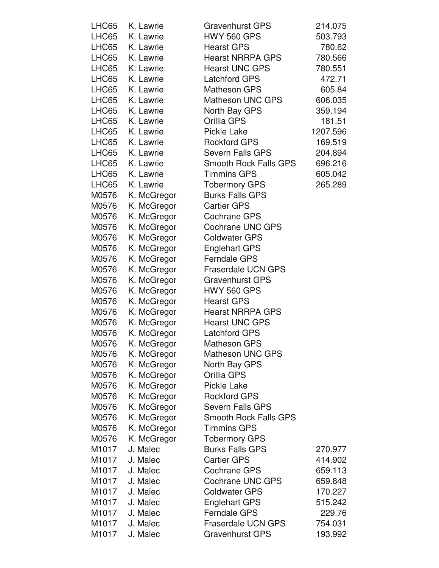| LHC65 | K. Lawrie   | <b>Gravenhurst GPS</b>       | 214.075  |
|-------|-------------|------------------------------|----------|
| LHC65 | K. Lawrie   | <b>HWY 560 GPS</b>           | 503.793  |
| LHC65 | K. Lawrie   | <b>Hearst GPS</b>            | 780.62   |
| LHC65 | K. Lawrie   | <b>Hearst NRRPA GPS</b>      | 780.566  |
| LHC65 | K. Lawrie   | <b>Hearst UNC GPS</b>        | 780.551  |
| LHC65 | K. Lawrie   | <b>Latchford GPS</b>         | 472.71   |
| LHC65 | K. Lawrie   | <b>Matheson GPS</b>          | 605.84   |
| LHC65 | K. Lawrie   | <b>Matheson UNC GPS</b>      | 606.035  |
| LHC65 | K. Lawrie   | North Bay GPS                | 359.194  |
| LHC65 | K. Lawrie   | Orillia GPS                  | 181.51   |
| LHC65 | K. Lawrie   | <b>Pickle Lake</b>           | 1207.596 |
| LHC65 | K. Lawrie   | <b>Rockford GPS</b>          | 169.519  |
| LHC65 | K. Lawrie   | <b>Severn Falls GPS</b>      | 204.894  |
| LHC65 | K. Lawrie   | <b>Smooth Rock Falls GPS</b> | 696.216  |
| LHC65 | K. Lawrie   | <b>Timmins GPS</b>           | 605.042  |
| LHC65 | K. Lawrie   | <b>Tobermory GPS</b>         | 265.289  |
| M0576 | K. McGregor | <b>Burks Falls GPS</b>       |          |
| M0576 | K. McGregor | <b>Cartier GPS</b>           |          |
| M0576 | K. McGregor | <b>Cochrane GPS</b>          |          |
| M0576 | K. McGregor | <b>Cochrane UNC GPS</b>      |          |
| M0576 | K. McGregor | <b>Coldwater GPS</b>         |          |
| M0576 | K. McGregor | <b>Englehart GPS</b>         |          |
| M0576 | K. McGregor | <b>Ferndale GPS</b>          |          |
| M0576 | K. McGregor | <b>Fraserdale UCN GPS</b>    |          |
| M0576 | K. McGregor | <b>Gravenhurst GPS</b>       |          |
| M0576 | K. McGregor | <b>HWY 560 GPS</b>           |          |
| M0576 | K. McGregor | <b>Hearst GPS</b>            |          |
| M0576 | K. McGregor | <b>Hearst NRRPA GPS</b>      |          |
| M0576 | K. McGregor | <b>Hearst UNC GPS</b>        |          |
| M0576 | K. McGregor | <b>Latchford GPS</b>         |          |
| M0576 | K. McGregor | <b>Matheson GPS</b>          |          |
| M0576 | K. McGregor | <b>Matheson UNC GPS</b>      |          |
| M0576 | K. McGregor | North Bay GPS                |          |
| M0576 | K. McGregor | Orillia GPS                  |          |
| M0576 | K. McGregor | <b>Pickle Lake</b>           |          |
| M0576 | K. McGregor | <b>Rockford GPS</b>          |          |
| M0576 | K. McGregor | <b>Severn Falls GPS</b>      |          |
| M0576 | K. McGregor | <b>Smooth Rock Falls GPS</b> |          |
| M0576 | K. McGregor | <b>Timmins GPS</b>           |          |
| M0576 | K. McGregor | <b>Tobermory GPS</b>         |          |
| M1017 | J. Malec    | <b>Burks Falls GPS</b>       | 270.977  |
| M1017 | J. Malec    | <b>Cartier GPS</b>           | 414.902  |
| M1017 | J. Malec    | <b>Cochrane GPS</b>          | 659.113  |
| M1017 | J. Malec    | <b>Cochrane UNC GPS</b>      | 659.848  |
| M1017 | J. Malec    | <b>Coldwater GPS</b>         | 170.227  |
| M1017 | J. Malec    | <b>Englehart GPS</b>         | 515.242  |
| M1017 | J. Malec    | <b>Ferndale GPS</b>          | 229.76   |
| M1017 | J. Malec    | <b>Fraserdale UCN GPS</b>    | 754.031  |
| M1017 | J. Malec    | <b>Gravenhurst GPS</b>       | 193.992  |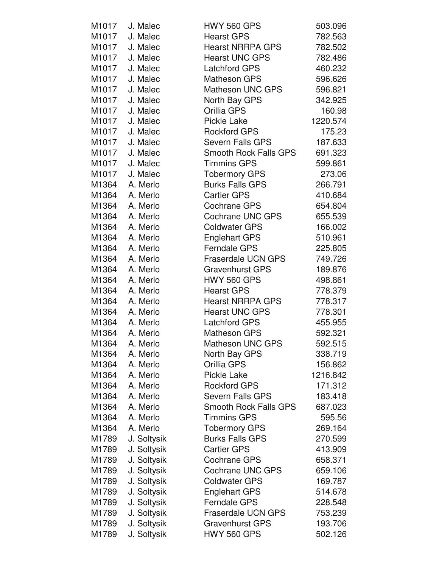| M1017 | J. Malec    | <b>HWY 560 GPS</b>           | 503.096  |
|-------|-------------|------------------------------|----------|
| M1017 | J. Malec    | <b>Hearst GPS</b>            | 782.563  |
| M1017 | J. Malec    | <b>Hearst NRRPA GPS</b>      | 782.502  |
| M1017 | J. Malec    | <b>Hearst UNC GPS</b>        | 782.486  |
| M1017 | J. Malec    | <b>Latchford GPS</b>         | 460.232  |
| M1017 | J. Malec    | <b>Matheson GPS</b>          | 596.626  |
| M1017 | J. Malec    | <b>Matheson UNC GPS</b>      | 596.821  |
| M1017 | J. Malec    | North Bay GPS                | 342.925  |
| M1017 | J. Malec    | Orillia GPS                  | 160.98   |
| M1017 | J. Malec    | <b>Pickle Lake</b>           | 1220.574 |
| M1017 | J. Malec    | <b>Rockford GPS</b>          | 175.23   |
| M1017 | J. Malec    | <b>Severn Falls GPS</b>      | 187.633  |
| M1017 | J. Malec    | <b>Smooth Rock Falls GPS</b> | 691.323  |
| M1017 | J. Malec    | <b>Timmins GPS</b>           | 599.861  |
| M1017 | J. Malec    | <b>Tobermory GPS</b>         | 273.06   |
| M1364 | A. Merlo    | <b>Burks Falls GPS</b>       | 266.791  |
| M1364 | A. Merlo    | <b>Cartier GPS</b>           | 410.684  |
| M1364 | A. Merlo    | <b>Cochrane GPS</b>          | 654.804  |
| M1364 | A. Merlo    | Cochrane UNC GPS             | 655.539  |
| M1364 | A. Merlo    | <b>Coldwater GPS</b>         | 166.002  |
| M1364 | A. Merlo    | <b>Englehart GPS</b>         | 510.961  |
| M1364 | A. Merlo    | <b>Ferndale GPS</b>          | 225.805  |
| M1364 | A. Merlo    | <b>Fraserdale UCN GPS</b>    | 749.726  |
| M1364 | A. Merlo    | <b>Gravenhurst GPS</b>       | 189.876  |
| M1364 | A. Merlo    | <b>HWY 560 GPS</b>           | 498.861  |
| M1364 | A. Merlo    | <b>Hearst GPS</b>            | 778.379  |
| M1364 | A. Merlo    | <b>Hearst NRRPA GPS</b>      | 778.317  |
| M1364 | A. Merlo    | <b>Hearst UNC GPS</b>        | 778.301  |
| M1364 | A. Merlo    | <b>Latchford GPS</b>         | 455.955  |
| M1364 | A. Merlo    | <b>Matheson GPS</b>          | 592.321  |
| M1364 | A. Merlo    | <b>Matheson UNC GPS</b>      | 592.515  |
| M1364 | A. Merlo    | North Bay GPS                | 338.719  |
| M1364 | A. Merlo    | Orillia GPS                  | 156.862  |
| M1364 | A. Merlo    | <b>Pickle Lake</b>           | 1216.842 |
| M1364 | A. Merlo    | <b>Rockford GPS</b>          | 171.312  |
| M1364 | A. Merlo    | <b>Severn Falls GPS</b>      | 183.418  |
| M1364 | A. Merlo    | <b>Smooth Rock Falls GPS</b> | 687.023  |
| M1364 | A. Merlo    | <b>Timmins GPS</b>           | 595.56   |
| M1364 | A. Merlo    | <b>Tobermory GPS</b>         | 269.164  |
| M1789 | J. Soltysik | <b>Burks Falls GPS</b>       | 270.599  |
| M1789 | J. Soltysik | <b>Cartier GPS</b>           | 413.909  |
| M1789 | J. Soltysik | <b>Cochrane GPS</b>          | 658.371  |
| M1789 | J. Soltysik | <b>Cochrane UNC GPS</b>      | 659.106  |
| M1789 | J. Soltysik | <b>Coldwater GPS</b>         | 169.787  |
| M1789 | J. Soltysik | <b>Englehart GPS</b>         | 514.678  |
| M1789 | J. Soltysik | <b>Ferndale GPS</b>          | 228.548  |
| M1789 | J. Soltysik | <b>Fraserdale UCN GPS</b>    | 753.239  |
| M1789 | J. Soltysik | <b>Gravenhurst GPS</b>       | 193.706  |
| M1789 | J. Soltysik | <b>HWY 560 GPS</b>           | 502.126  |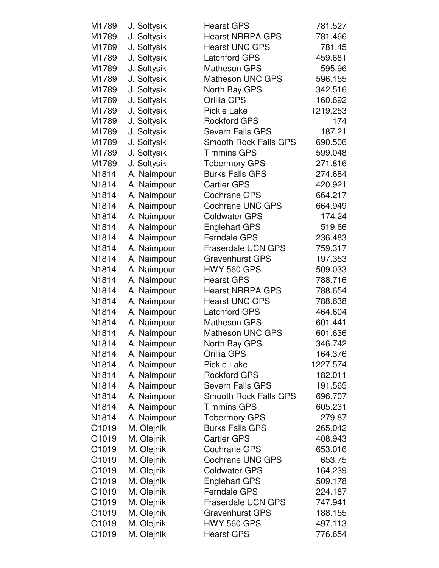| M1789              | J. Soltysik | <b>Hearst GPS</b>            | 781.527  |
|--------------------|-------------|------------------------------|----------|
| M1789              | J. Soltysik | <b>Hearst NRRPA GPS</b>      | 781.466  |
| M1789              | J. Soltysik | <b>Hearst UNC GPS</b>        | 781.45   |
| M1789              | J. Soltysik | <b>Latchford GPS</b>         | 459.681  |
| M1789              | J. Soltysik | <b>Matheson GPS</b>          | 595.96   |
| M1789              | J. Soltysik | <b>Matheson UNC GPS</b>      | 596.155  |
| M1789              | J. Soltysik | North Bay GPS                | 342.516  |
| M1789              | J. Soltysik | Orillia GPS                  | 160.692  |
| M1789              | J. Soltysik | <b>Pickle Lake</b>           | 1219.253 |
| M1789              | J. Soltysik | <b>Rockford GPS</b>          | 174      |
| M1789              | J. Soltysik | <b>Severn Falls GPS</b>      | 187.21   |
| M1789              | J. Soltysik | <b>Smooth Rock Falls GPS</b> | 690.506  |
| M1789              | J. Soltysik | <b>Timmins GPS</b>           | 599.048  |
| M1789              | J. Soltysik | <b>Tobermory GPS</b>         | 271.816  |
| N1814              | A. Naimpour | <b>Burks Falls GPS</b>       | 274.684  |
| N1814              | A. Naimpour | <b>Cartier GPS</b>           | 420.921  |
| N1814              | A. Naimpour | <b>Cochrane GPS</b>          | 664.217  |
| N1814              | A. Naimpour | <b>Cochrane UNC GPS</b>      | 664.949  |
| N1814              | A. Naimpour | <b>Coldwater GPS</b>         | 174.24   |
| N1814              | A. Naimpour | <b>Englehart GPS</b>         | 519.66   |
| N1814              | A. Naimpour | <b>Ferndale GPS</b>          | 236.483  |
| N1814              | A. Naimpour | <b>Fraserdale UCN GPS</b>    | 759.317  |
| N1814              | A. Naimpour | <b>Gravenhurst GPS</b>       | 197.353  |
| N1814              | A. Naimpour | <b>HWY 560 GPS</b>           | 509.033  |
| N1814              | A. Naimpour | <b>Hearst GPS</b>            | 788.716  |
| N1814              | A. Naimpour | <b>Hearst NRRPA GPS</b>      | 788.654  |
| N1814              | A. Naimpour | <b>Hearst UNC GPS</b>        | 788.638  |
| N1814              | A. Naimpour | <b>Latchford GPS</b>         | 464.604  |
| N1814              | A. Naimpour | <b>Matheson GPS</b>          | 601.441  |
| N1814              | A. Naimpour | <b>Matheson UNC GPS</b>      | 601.636  |
| N1814              | A. Naimpour | North Bay GPS                | 346.742  |
| N1814              | A. Naimpour | Orillia GPS                  | 164.376  |
| N <sub>1</sub> 814 | A. Naimpour | <b>Pickle Lake</b>           | 1227.574 |
| N1814              | A. Naimpour | <b>Rockford GPS</b>          | 182.011  |
| N1814              | A. Naimpour | <b>Severn Falls GPS</b>      | 191.565  |
| N1814              | A. Naimpour | <b>Smooth Rock Falls GPS</b> | 696.707  |
| N1814              | A. Naimpour | <b>Timmins GPS</b>           | 605.231  |
| N1814              | A. Naimpour | <b>Tobermory GPS</b>         | 279.87   |
| O1019              | M. Olejnik  | <b>Burks Falls GPS</b>       | 265.042  |
| O1019              | M. Olejnik  | <b>Cartier GPS</b>           | 408.943  |
| O1019              | M. Olejnik  | <b>Cochrane GPS</b>          | 653.016  |
| O1019              | M. Olejnik  | <b>Cochrane UNC GPS</b>      | 653.75   |
| O1019              | M. Olejnik  | <b>Coldwater GPS</b>         | 164.239  |
| O1019              | M. Olejnik  | <b>Englehart GPS</b>         | 509.178  |
| O1019              | M. Olejnik  | <b>Ferndale GPS</b>          | 224.187  |
| O1019              | M. Olejnik  | <b>Fraserdale UCN GPS</b>    | 747.941  |
| O1019              | M. Olejnik  | <b>Gravenhurst GPS</b>       | 188.155  |
| O1019              | M. Olejnik  | <b>HWY 560 GPS</b>           | 497.113  |
| O1019              | M. Olejnik  | <b>Hearst GPS</b>            | 776.654  |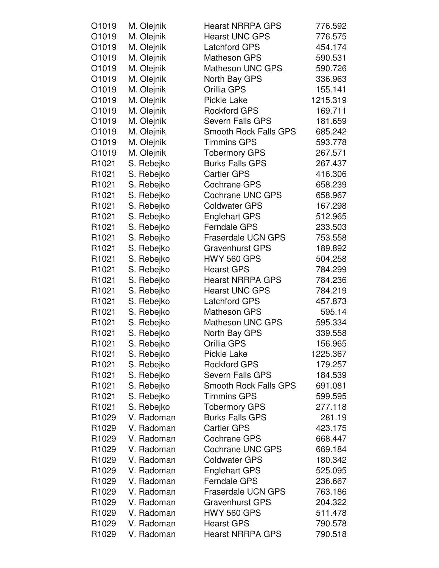| O1019             | M. Olejnik | <b>Hearst NRRPA GPS</b>      | 776.592  |
|-------------------|------------|------------------------------|----------|
| O1019             | M. Olejnik | <b>Hearst UNC GPS</b>        | 776.575  |
| O1019             | M. Olejnik | Latchford GPS                | 454.174  |
| O1019             | M. Olejnik | <b>Matheson GPS</b>          | 590.531  |
| O1019             | M. Olejnik | <b>Matheson UNC GPS</b>      | 590.726  |
| O1019             | M. Olejnik | North Bay GPS                | 336.963  |
| O1019             | M. Olejnik | Orillia GPS                  | 155.141  |
| O1019             | M. Olejnik | <b>Pickle Lake</b>           | 1215.319 |
| O1019             | M. Olejnik | <b>Rockford GPS</b>          | 169.711  |
| O1019             | M. Olejnik | <b>Severn Falls GPS</b>      | 181.659  |
| O1019             | M. Olejnik | <b>Smooth Rock Falls GPS</b> | 685.242  |
| O1019             | M. Olejnik | <b>Timmins GPS</b>           | 593.778  |
| O1019             | M. Olejnik | <b>Tobermory GPS</b>         | 267.571  |
| R <sub>1021</sub> | S. Rebejko | <b>Burks Falls GPS</b>       | 267.437  |
| R <sub>1021</sub> | S. Rebejko | <b>Cartier GPS</b>           | 416.306  |
| R <sub>1021</sub> | S. Rebejko | <b>Cochrane GPS</b>          | 658.239  |
| R1021             | S. Rebejko | <b>Cochrane UNC GPS</b>      | 658.967  |
| R <sub>1021</sub> | S. Rebejko | <b>Coldwater GPS</b>         | 167.298  |
| R <sub>1021</sub> | S. Rebejko | <b>Englehart GPS</b>         | 512.965  |
| R <sub>1021</sub> | S. Rebejko | <b>Ferndale GPS</b>          | 233.503  |
| R1021             | S. Rebejko | <b>Fraserdale UCN GPS</b>    | 753.558  |
| R <sub>1021</sub> | S. Rebejko | <b>Gravenhurst GPS</b>       | 189.892  |
| R <sub>1021</sub> | S. Rebejko | <b>HWY 560 GPS</b>           | 504.258  |
| R1021             | S. Rebejko | <b>Hearst GPS</b>            | 784.299  |
| R1021             | S. Rebejko | <b>Hearst NRRPA GPS</b>      | 784.236  |
| R1021             | S. Rebejko | <b>Hearst UNC GPS</b>        | 784.219  |
| R <sub>1021</sub> | S. Rebejko | <b>Latchford GPS</b>         | 457.873  |
| R <sub>1021</sub> | S. Rebejko | <b>Matheson GPS</b>          | 595.14   |
| R <sub>1021</sub> | S. Rebejko | <b>Matheson UNC GPS</b>      | 595.334  |
| R1021             | S. Rebejko | North Bay GPS                | 339.558  |
| R <sub>1021</sub> | S. Rebejko | Orillia GPS                  | 156.965  |
| R <sub>1021</sub> | S. Rebejko | <b>Pickle Lake</b>           | 1225.367 |
| R <sub>1021</sub> | S. Rebejko | <b>Rockford GPS</b>          | 179.257  |
| R <sub>1021</sub> | S. Rebejko | <b>Severn Falls GPS</b>      | 184.539  |
| R <sub>1021</sub> | S. Rebejko | <b>Smooth Rock Falls GPS</b> | 691.081  |
| R <sub>1021</sub> | S. Rebejko | <b>Timmins GPS</b>           | 599.595  |
| R1021             | S. Rebejko | <b>Tobermory GPS</b>         | 277.118  |
| R1029             | V. Radoman | <b>Burks Falls GPS</b>       | 281.19   |
| R <sub>1029</sub> | V. Radoman | <b>Cartier GPS</b>           | 423.175  |
| R <sub>1029</sub> | V. Radoman | <b>Cochrane GPS</b>          | 668.447  |
| R <sub>1029</sub> | V. Radoman | <b>Cochrane UNC GPS</b>      | 669.184  |
| R <sub>1029</sub> | V. Radoman | <b>Coldwater GPS</b>         | 180.342  |
| R <sub>1029</sub> | V. Radoman | <b>Englehart GPS</b>         | 525.095  |
| R <sub>1029</sub> | V. Radoman | <b>Ferndale GPS</b>          | 236.667  |
| R <sub>1029</sub> | V. Radoman | <b>Fraserdale UCN GPS</b>    | 763.186  |
| R <sub>1029</sub> | V. Radoman | <b>Gravenhurst GPS</b>       | 204.322  |
| R1029             | V. Radoman | <b>HWY 560 GPS</b>           | 511.478  |
| R1029             | V. Radoman | <b>Hearst GPS</b>            | 790.578  |
| R1029             | V. Radoman | <b>Hearst NRRPA GPS</b>      | 790.518  |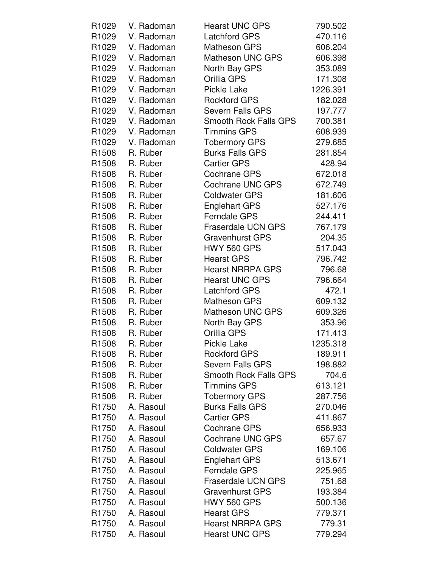| R <sub>1029</sub> | V. Radoman | <b>Hearst UNC GPS</b>        | 790.502  |
|-------------------|------------|------------------------------|----------|
| R1029             | V. Radoman | <b>Latchford GPS</b>         | 470.116  |
| R1029             | V. Radoman | <b>Matheson GPS</b>          | 606.204  |
| R1029             | V. Radoman | <b>Matheson UNC GPS</b>      | 606.398  |
| R1029             | V. Radoman | North Bay GPS                | 353.089  |
| R1029             | V. Radoman | Orillia GPS                  | 171.308  |
| R1029             | V. Radoman | Pickle Lake                  | 1226.391 |
| R1029             | V. Radoman | <b>Rockford GPS</b>          | 182.028  |
| R1029             | V. Radoman | <b>Severn Falls GPS</b>      | 197.777  |
| R <sub>1029</sub> | V. Radoman | Smooth Rock Falls GPS        | 700.381  |
| R1029             | V. Radoman | <b>Timmins GPS</b>           | 608.939  |
| R1029             | V. Radoman | <b>Tobermory GPS</b>         | 279.685  |
| R1508             | R. Ruber   | <b>Burks Falls GPS</b>       | 281.854  |
| R1508             | R. Ruber   | <b>Cartier GPS</b>           | 428.94   |
| R1508             | R. Ruber   | <b>Cochrane GPS</b>          | 672.018  |
| R <sub>1508</sub> | R. Ruber   | <b>Cochrane UNC GPS</b>      | 672.749  |
| R1508             | R. Ruber   | <b>Coldwater GPS</b>         | 181.606  |
| R1508             | R. Ruber   | <b>Englehart GPS</b>         | 527.176  |
| R1508             | R. Ruber   | <b>Ferndale GPS</b>          | 244.411  |
| R1508             | R. Ruber   | <b>Fraserdale UCN GPS</b>    | 767.179  |
| R <sub>1508</sub> | R. Ruber   | <b>Gravenhurst GPS</b>       | 204.35   |
| R1508             | R. Ruber   | <b>HWY 560 GPS</b>           | 517.043  |
| R1508             | R. Ruber   | <b>Hearst GPS</b>            | 796.742  |
| R1508             | R. Ruber   | <b>Hearst NRRPA GPS</b>      | 796.68   |
| R <sub>1508</sub> | R. Ruber   | <b>Hearst UNC GPS</b>        | 796.664  |
| R1508             | R. Ruber   | <b>Latchford GPS</b>         | 472.1    |
| R <sub>1508</sub> | R. Ruber   | <b>Matheson GPS</b>          | 609.132  |
| R <sub>1508</sub> | R. Ruber   | Matheson UNC GPS             | 609.326  |
| R1508             | R. Ruber   | North Bay GPS                | 353.96   |
| R <sub>1508</sub> | R. Ruber   | Orillia GPS                  | 171.413  |
| R <sub>1508</sub> | R. Ruber   | Pickle Lake                  | 1235.318 |
| R <sub>1508</sub> | R. Ruber   | <b>Rockford GPS</b>          | 189.911  |
| R1508             | R. Ruber   | <b>Severn Falls GPS</b>      | 198.882  |
| R <sub>1508</sub> | R. Ruber   | <b>Smooth Rock Falls GPS</b> | 704.6    |
| R <sub>1508</sub> | R. Ruber   | <b>Timmins GPS</b>           | 613.121  |
| R <sub>1508</sub> | R. Ruber   | <b>Tobermory GPS</b>         | 287.756  |
| R1750             | A. Rasoul  | <b>Burks Falls GPS</b>       | 270.046  |
| R <sub>1750</sub> | A. Rasoul  | <b>Cartier GPS</b>           | 411.867  |
| R1750             | A. Rasoul  | Cochrane GPS                 | 656.933  |
| R1750             | A. Rasoul  | <b>Cochrane UNC GPS</b>      | 657.67   |
| R <sub>1750</sub> | A. Rasoul  | <b>Coldwater GPS</b>         | 169.106  |
| R <sub>1750</sub> | A. Rasoul  | <b>Englehart GPS</b>         | 513.671  |
| R <sub>1750</sub> | A. Rasoul  | <b>Ferndale GPS</b>          | 225.965  |
| R <sub>1750</sub> | A. Rasoul  | <b>Fraserdale UCN GPS</b>    | 751.68   |
| R <sub>1750</sub> | A. Rasoul  | <b>Gravenhurst GPS</b>       | 193.384  |
| R1750             | A. Rasoul  | <b>HWY 560 GPS</b>           | 500.136  |
| R <sub>1750</sub> | A. Rasoul  | <b>Hearst GPS</b>            | 779.371  |
| R1750             | A. Rasoul  | <b>Hearst NRRPA GPS</b>      | 779.31   |
| R <sub>1750</sub> | A. Rasoul  | <b>Hearst UNC GPS</b>        | 779.294  |
|                   |            |                              |          |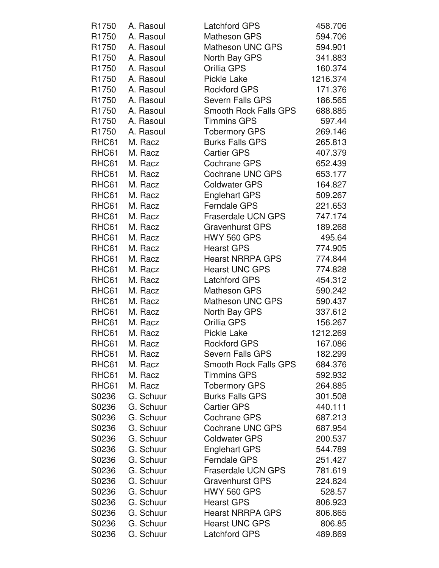| R <sub>1750</sub> | A. Rasoul | <b>Latchford GPS</b>         | 458.706  |
|-------------------|-----------|------------------------------|----------|
| R1750             | A. Rasoul | Matheson GPS                 | 594.706  |
| R1750             | A. Rasoul | <b>Matheson UNC GPS</b>      | 594.901  |
| R1750             | A. Rasoul | North Bay GPS                | 341.883  |
| R1750             | A. Rasoul | Orillia GPS                  | 160.374  |
| R1750             | A. Rasoul | <b>Pickle Lake</b>           | 1216.374 |
| R1750             | A. Rasoul | <b>Rockford GPS</b>          | 171.376  |
| R <sub>1750</sub> | A. Rasoul | <b>Severn Falls GPS</b>      | 186.565  |
| R1750             | A. Rasoul | <b>Smooth Rock Falls GPS</b> | 688.885  |
| R1750             | A. Rasoul | <b>Timmins GPS</b>           | 597.44   |
| R1750             | A. Rasoul | <b>Tobermory GPS</b>         | 269.146  |
| RHC61             | M. Racz   | <b>Burks Falls GPS</b>       | 265.813  |
| RHC61             | M. Racz   | <b>Cartier GPS</b>           | 407.379  |
| RHC61             | M. Racz   | <b>Cochrane GPS</b>          | 652.439  |
| RHC61             | M. Racz   | Cochrane UNC GPS             | 653.177  |
| RHC61             | M. Racz   | <b>Coldwater GPS</b>         | 164.827  |
| RHC61             | M. Racz   | <b>Englehart GPS</b>         | 509.267  |
| RHC61             | M. Racz   | <b>Ferndale GPS</b>          | 221.653  |
| RHC61             | M. Racz   | <b>Fraserdale UCN GPS</b>    | 747.174  |
| RHC61             | M. Racz   | <b>Gravenhurst GPS</b>       | 189.268  |
| RHC61             | M. Racz   | <b>HWY 560 GPS</b>           | 495.64   |
| RHC61             | M. Racz   | <b>Hearst GPS</b>            | 774.905  |
| RHC61             | M. Racz   | <b>Hearst NRRPA GPS</b>      | 774.844  |
| RHC61             | M. Racz   | <b>Hearst UNC GPS</b>        | 774.828  |
| RHC61             | M. Racz   | <b>Latchford GPS</b>         | 454.312  |
| RHC61             | M. Racz   | <b>Matheson GPS</b>          | 590.242  |
| RHC61             | M. Racz   | <b>Matheson UNC GPS</b>      | 590.437  |
| RHC61             | M. Racz   | North Bay GPS                | 337.612  |
| RHC61             | M. Racz   | Orillia GPS                  | 156.267  |
| RHC61             | M. Racz   | <b>Pickle Lake</b>           | 1212.269 |
| RHC61             | M. Racz   | <b>Rockford GPS</b>          | 167.086  |
| RHC61             | M. Racz   | <b>Severn Falls GPS</b>      | 182.299  |
| RHC61             | M. Racz   | Smooth Rock Falls GPS        | 684.376  |
| RHC61             | M. Racz   | <b>Timmins GPS</b>           | 592.932  |
| RHC61             | M. Racz   | <b>Tobermory GPS</b>         | 264.885  |
| S0236             | G. Schuur | <b>Burks Falls GPS</b>       | 301.508  |
| S0236             | G. Schuur | <b>Cartier GPS</b>           | 440.111  |
| S0236             | G. Schuur | <b>Cochrane GPS</b>          | 687.213  |
| S0236             | G. Schuur | Cochrane UNC GPS             | 687.954  |
| S0236             | G. Schuur | <b>Coldwater GPS</b>         | 200.537  |
| S0236             | G. Schuur | <b>Englehart GPS</b>         | 544.789  |
| S0236             | G. Schuur | <b>Ferndale GPS</b>          | 251.427  |
| S0236             | G. Schuur | <b>Fraserdale UCN GPS</b>    | 781.619  |
| S0236             | G. Schuur | <b>Gravenhurst GPS</b>       | 224.824  |
| S0236             | G. Schuur | <b>HWY 560 GPS</b>           | 528.57   |
| S0236             | G. Schuur | <b>Hearst GPS</b>            | 806.923  |
| S0236             | G. Schuur | <b>Hearst NRRPA GPS</b>      | 806.865  |
| S0236             | G. Schuur | <b>Hearst UNC GPS</b>        | 806.85   |
| S0236             | G. Schuur | <b>Latchford GPS</b>         | 489.869  |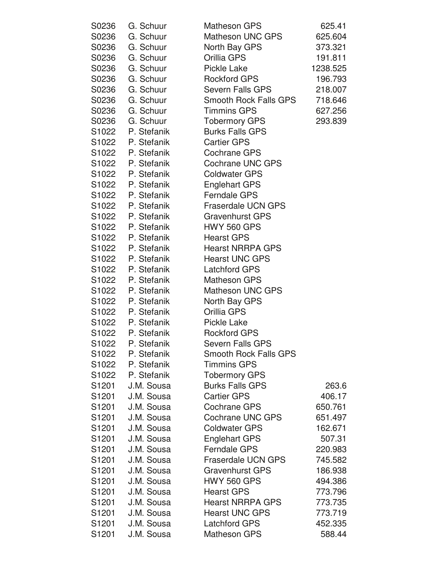| S0236 | G. Schuur         | <b>Matheson GPS</b>          | 625.41   |
|-------|-------------------|------------------------------|----------|
| S0236 | G. Schuur         | Matheson UNC GPS             | 625.604  |
| S0236 | G. Schuur         | North Bay GPS                | 373.321  |
| S0236 | G. Schuur         | Orillia GPS                  | 191.811  |
| S0236 | G. Schuur         | <b>Pickle Lake</b>           | 1238.525 |
| S0236 | G. Schuur         | <b>Rockford GPS</b>          | 196.793  |
| S0236 | G. Schuur         | <b>Severn Falls GPS</b>      | 218.007  |
| S0236 | G. Schuur         | <b>Smooth Rock Falls GPS</b> | 718.646  |
| S0236 | G. Schuur         | <b>Timmins GPS</b>           | 627.256  |
| S0236 | G. Schuur         | <b>Tobermory GPS</b>         | 293.839  |
|       | S1022 P. Stefanik | <b>Burks Falls GPS</b>       |          |
|       | S1022 P. Stefanik | <b>Cartier GPS</b>           |          |
|       | S1022 P. Stefanik | <b>Cochrane GPS</b>          |          |
|       | S1022 P. Stefanik | <b>Cochrane UNC GPS</b>      |          |
|       | S1022 P. Stefanik | <b>Coldwater GPS</b>         |          |
|       | S1022 P. Stefanik | <b>Englehart GPS</b>         |          |
|       | S1022 P. Stefanik | <b>Ferndale GPS</b>          |          |
|       | S1022 P. Stefanik | <b>Fraserdale UCN GPS</b>    |          |
|       | S1022 P. Stefanik | <b>Gravenhurst GPS</b>       |          |
|       | S1022 P. Stefanik | <b>HWY 560 GPS</b>           |          |
|       | S1022 P. Stefanik | <b>Hearst GPS</b>            |          |
|       | S1022 P. Stefanik | <b>Hearst NRRPA GPS</b>      |          |
|       | S1022 P. Stefanik | <b>Hearst UNC GPS</b>        |          |
|       | S1022 P. Stefanik | <b>Latchford GPS</b>         |          |
|       | S1022 P. Stefanik | <b>Matheson GPS</b>          |          |
| S1022 | P. Stefanik       | <b>Matheson UNC GPS</b>      |          |
|       | S1022 P. Stefanik | North Bay GPS                |          |
|       | S1022 P. Stefanik | Orillia GPS                  |          |
|       | S1022 P. Stefanik | <b>Pickle Lake</b>           |          |
|       | S1022 P. Stefanik | <b>Rockford GPS</b>          |          |
| S1022 | P. Stefanik       | Severn Falls GPS             |          |
| S1022 | P. Stefanik       | <b>Smooth Rock Falls GPS</b> |          |
| S1022 | P. Stefanik       | <b>Timmins GPS</b>           |          |
| S1022 | P. Stefanik       | <b>Tobermory GPS</b>         |          |
| S1201 | J.M. Sousa        | <b>Burks Falls GPS</b>       | 263.6    |
| S1201 | J.M. Sousa        | <b>Cartier GPS</b>           | 406.17   |
| S1201 | J.M. Sousa        | <b>Cochrane GPS</b>          | 650.761  |
| S1201 | J.M. Sousa        | <b>Cochrane UNC GPS</b>      | 651.497  |
| S1201 | J.M. Sousa        | <b>Coldwater GPS</b>         | 162.671  |
| S1201 | J.M. Sousa        | <b>Englehart GPS</b>         | 507.31   |
| S1201 | J.M. Sousa        | <b>Ferndale GPS</b>          | 220.983  |
| S1201 | J.M. Sousa        | <b>Fraserdale UCN GPS</b>    | 745.582  |
| S1201 | J.M. Sousa        | <b>Gravenhurst GPS</b>       | 186.938  |
| S1201 | J.M. Sousa        | <b>HWY 560 GPS</b>           | 494.386  |
| S1201 | J.M. Sousa        | <b>Hearst GPS</b>            | 773.796  |
| S1201 | J.M. Sousa        | <b>Hearst NRRPA GPS</b>      | 773.735  |
| S1201 | J.M. Sousa        | <b>Hearst UNC GPS</b>        | 773.719  |
| S1201 | J.M. Sousa        | <b>Latchford GPS</b>         | 452.335  |
| S1201 | J.M. Sousa        | <b>Matheson GPS</b>          | 588.44   |
|       |                   |                              |          |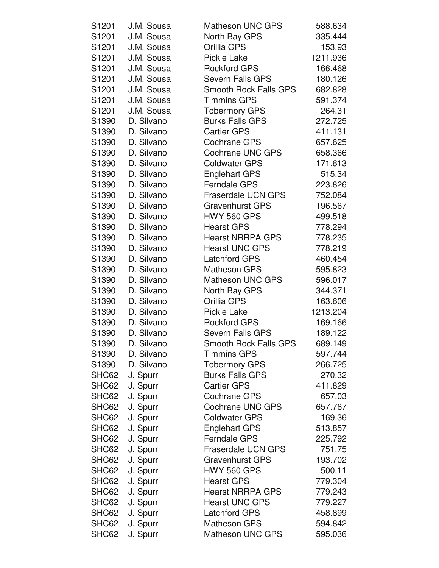| S1201 | J.M. Sousa | <b>Matheson UNC GPS</b>      | 588.634  |
|-------|------------|------------------------------|----------|
| S1201 | J.M. Sousa | North Bay GPS                | 335.444  |
| S1201 | J.M. Sousa | Orillia GPS                  | 153.93   |
| S1201 | J.M. Sousa | Pickle Lake                  | 1211.936 |
| S1201 | J.M. Sousa | <b>Rockford GPS</b>          | 166.468  |
| S1201 | J.M. Sousa | Severn Falls GPS             | 180.126  |
| S1201 | J.M. Sousa | <b>Smooth Rock Falls GPS</b> | 682.828  |
| S1201 | J.M. Sousa | <b>Timmins GPS</b>           | 591.374  |
| S1201 | J.M. Sousa | <b>Tobermory GPS</b>         | 264.31   |
| S1390 | D. Silvano | <b>Burks Falls GPS</b>       | 272.725  |
| S1390 | D. Silvano | <b>Cartier GPS</b>           | 411.131  |
| S1390 | D. Silvano | <b>Cochrane GPS</b>          | 657.625  |
| S1390 | D. Silvano | <b>Cochrane UNC GPS</b>      | 658.366  |
| S1390 | D. Silvano | <b>Coldwater GPS</b>         | 171.613  |
| S1390 | D. Silvano | <b>Englehart GPS</b>         | 515.34   |
| S1390 | D. Silvano | <b>Ferndale GPS</b>          | 223.826  |
| S1390 | D. Silvano | <b>Fraserdale UCN GPS</b>    | 752.084  |
| S1390 | D. Silvano | <b>Gravenhurst GPS</b>       | 196.567  |
| S1390 | D. Silvano | <b>HWY 560 GPS</b>           | 499.518  |
| S1390 | D. Silvano | <b>Hearst GPS</b>            | 778.294  |
| S1390 | D. Silvano | <b>Hearst NRRPA GPS</b>      | 778.235  |
| S1390 | D. Silvano | <b>Hearst UNC GPS</b>        | 778.219  |
| S1390 | D. Silvano | <b>Latchford GPS</b>         | 460.454  |
| S1390 | D. Silvano | <b>Matheson GPS</b>          | 595.823  |
| S1390 | D. Silvano | <b>Matheson UNC GPS</b>      | 596.017  |
| S1390 | D. Silvano | North Bay GPS                | 344.371  |
| S1390 | D. Silvano | Orillia GPS                  | 163.606  |
| S1390 | D. Silvano | Pickle Lake                  | 1213.204 |
| S1390 | D. Silvano | <b>Rockford GPS</b>          | 169.166  |
| S1390 | D. Silvano | <b>Severn Falls GPS</b>      | 189.122  |
| S1390 | D. Silvano | <b>Smooth Rock Falls GPS</b> | 689.149  |
| S1390 | D. Silvano | <b>Timmins GPS</b>           | 597.744  |
| S1390 | D. Silvano | <b>Tobermory GPS</b>         | 266.725  |
| SHC62 | J. Spurr   | <b>Burks Falls GPS</b>       | 270.32   |
| SHC62 | J. Spurr   | <b>Cartier GPS</b>           | 411.829  |
| SHC62 | J. Spurr   | <b>Cochrane GPS</b>          | 657.03   |
| SHC62 | J. Spurr   | <b>Cochrane UNC GPS</b>      | 657.767  |
| SHC62 | J. Spurr   | <b>Coldwater GPS</b>         | 169.36   |
| SHC62 | J. Spurr   | <b>Englehart GPS</b>         | 513.857  |
| SHC62 | J. Spurr   | <b>Ferndale GPS</b>          | 225.792  |
| SHC62 | J. Spurr   | <b>Fraserdale UCN GPS</b>    | 751.75   |
| SHC62 | J. Spurr   | <b>Gravenhurst GPS</b>       | 193.702  |
| SHC62 | J. Spurr   | <b>HWY 560 GPS</b>           | 500.11   |
| SHC62 | J. Spurr   | <b>Hearst GPS</b>            | 779.304  |
| SHC62 | J. Spurr   | <b>Hearst NRRPA GPS</b>      | 779.243  |
| SHC62 | J. Spurr   | <b>Hearst UNC GPS</b>        | 779.227  |
| SHC62 | J. Spurr   | <b>Latchford GPS</b>         | 458.899  |
| SHC62 | J. Spurr   | <b>Matheson GPS</b>          | 594.842  |
| SHC62 | J. Spurr   | <b>Matheson UNC GPS</b>      | 595.036  |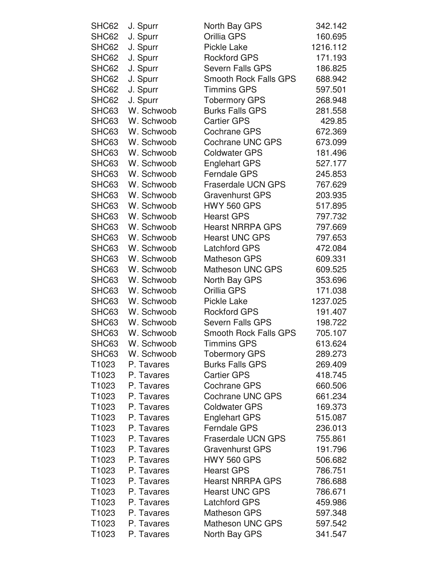| SHC62 | J. Spurr         | North Bay GPS                | 342.142  |
|-------|------------------|------------------------------|----------|
| SHC62 | J. Spurr         | Orillia GPS                  | 160.695  |
| SHC62 | J. Spurr         | <b>Pickle Lake</b>           | 1216.112 |
| SHC62 | J. Spurr         | <b>Rockford GPS</b>          | 171.193  |
| SHC62 | J. Spurr         | <b>Severn Falls GPS</b>      | 186.825  |
| SHC62 | J. Spurr         | <b>Smooth Rock Falls GPS</b> | 688.942  |
| SHC62 | J. Spurr         | <b>Timmins GPS</b>           | 597.501  |
| SHC62 | J. Spurr         | <b>Tobermory GPS</b>         | 268.948  |
| SHC63 | W. Schwoob       | <b>Burks Falls GPS</b>       | 281.558  |
| SHC63 | W. Schwoob       | <b>Cartier GPS</b>           | 429.85   |
| SHC63 | W. Schwoob       | <b>Cochrane GPS</b>          | 672.369  |
| SHC63 | W. Schwoob       | <b>Cochrane UNC GPS</b>      | 673.099  |
| SHC63 | W. Schwoob       | <b>Coldwater GPS</b>         | 181.496  |
|       | SHC63 W. Schwoob | <b>Englehart GPS</b>         | 527.177  |
| SHC63 | W. Schwoob       | <b>Ferndale GPS</b>          | 245.853  |
| SHC63 | W. Schwoob       | <b>Fraserdale UCN GPS</b>    | 767.629  |
| SHC63 | W. Schwoob       | <b>Gravenhurst GPS</b>       | 203.935  |
|       | SHC63 W. Schwoob | <b>HWY 560 GPS</b>           | 517.895  |
|       | SHC63 W. Schwoob | <b>Hearst GPS</b>            | 797.732  |
| SHC63 | W. Schwoob       | <b>Hearst NRRPA GPS</b>      | 797.669  |
| SHC63 | W. Schwoob       | <b>Hearst UNC GPS</b>        | 797.653  |
| SHC63 | W. Schwoob       | <b>Latchford GPS</b>         | 472.084  |
| SHC63 | W. Schwoob       | <b>Matheson GPS</b>          | 609.331  |
| SHC63 | W. Schwoob       | <b>Matheson UNC GPS</b>      | 609.525  |
| SHC63 | W. Schwoob       |                              |          |
|       | W. Schwoob       | North Bay GPS                | 353.696  |
| SHC63 |                  | Orillia GPS                  | 171.038  |
|       | SHC63 W. Schwoob | <b>Pickle Lake</b>           | 1237.025 |
| SHC63 | W. Schwoob       | <b>Rockford GPS</b>          | 191.407  |
| SHC63 | W. Schwoob       | <b>Severn Falls GPS</b>      | 198.722  |
| SHC63 | W. Schwoob       | <b>Smooth Rock Falls GPS</b> | 705.107  |
| SHC63 | W. Schwoob       | <b>Timmins GPS</b>           | 613.624  |
| SHC63 | W. Schwoob       | <b>Tobermory GPS</b>         | 289.273  |
| T1023 | P. Tavares       | <b>Burks Falls GPS</b>       | 269.409  |
| T1023 | P. Tavares       | <b>Cartier GPS</b>           | 418.745  |
| T1023 | P. Tavares       | <b>Cochrane GPS</b>          | 660.506  |
| T1023 | P. Tavares       | <b>Cochrane UNC GPS</b>      | 661.234  |
| T1023 | P. Tavares       | <b>Coldwater GPS</b>         | 169.373  |
| T1023 | P. Tavares       | <b>Englehart GPS</b>         | 515.087  |
| T1023 | P. Tavares       | <b>Ferndale GPS</b>          | 236.013  |
| T1023 | P. Tavares       | <b>Fraserdale UCN GPS</b>    | 755.861  |
| T1023 | P. Tavares       | <b>Gravenhurst GPS</b>       | 191.796  |
| T1023 | P. Tavares       | <b>HWY 560 GPS</b>           | 506.682  |
| T1023 | P. Tavares       | <b>Hearst GPS</b>            | 786.751  |
| T1023 | P. Tavares       | <b>Hearst NRRPA GPS</b>      | 786.688  |
| T1023 | P. Tavares       | <b>Hearst UNC GPS</b>        | 786.671  |
| T1023 | P. Tavares       | <b>Latchford GPS</b>         | 459.986  |
| T1023 | P. Tavares       | <b>Matheson GPS</b>          | 597.348  |
| T1023 | P. Tavares       | Matheson UNC GPS             | 597.542  |
| T1023 | P. Tavares       | North Bay GPS                | 341.547  |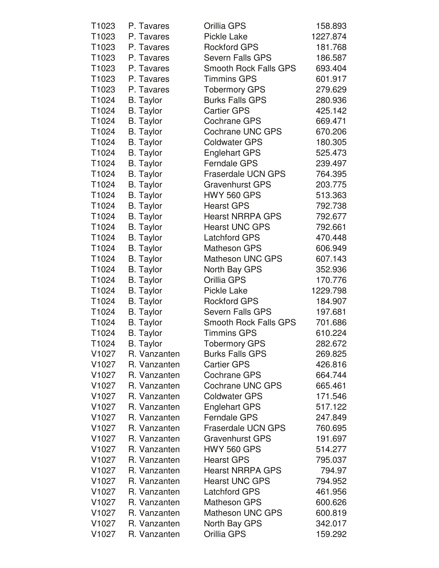| T1023             | P. Tavares       | Orillia GPS                  | 158.893  |
|-------------------|------------------|------------------------------|----------|
| T1023             | P. Tavares       | <b>Pickle Lake</b>           | 1227.874 |
| T1023             | P. Tavares       | <b>Rockford GPS</b>          | 181.768  |
| T1023             | P. Tavares       | <b>Severn Falls GPS</b>      | 186.587  |
| T1023             | P. Tavares       | <b>Smooth Rock Falls GPS</b> | 693.404  |
| T <sub>1023</sub> | P. Tavares       | <b>Timmins GPS</b>           | 601.917  |
| T1023             | P. Tavares       | <b>Tobermory GPS</b>         | 279.629  |
| T1024             | <b>B.</b> Taylor | <b>Burks Falls GPS</b>       | 280.936  |
| T1024             | <b>B.</b> Taylor | <b>Cartier GPS</b>           | 425.142  |
| T1024             | <b>B.</b> Taylor | <b>Cochrane GPS</b>          | 669.471  |
| T1024             | <b>B.</b> Taylor | <b>Cochrane UNC GPS</b>      | 670.206  |
| T1024             | <b>B.</b> Taylor | <b>Coldwater GPS</b>         | 180.305  |
| T1024             | <b>B.</b> Taylor | <b>Englehart GPS</b>         | 525.473  |
| T1024             | <b>B.</b> Taylor | <b>Ferndale GPS</b>          | 239.497  |
| T1024             | <b>B.</b> Taylor | Fraserdale UCN GPS           | 764.395  |
| T1024             | <b>B.</b> Taylor | <b>Gravenhurst GPS</b>       | 203.775  |
| T1024             | <b>B.</b> Taylor | <b>HWY 560 GPS</b>           | 513.363  |
| T1024             | <b>B.</b> Taylor | <b>Hearst GPS</b>            | 792.738  |
| T1024             | <b>B.</b> Taylor | <b>Hearst NRRPA GPS</b>      | 792.677  |
| T1024             | <b>B.</b> Taylor | <b>Hearst UNC GPS</b>        | 792.661  |
| T1024             | <b>B.</b> Taylor | <b>Latchford GPS</b>         | 470.448  |
| T1024             | <b>B.</b> Taylor | <b>Matheson GPS</b>          | 606.949  |
| T1024             | <b>B.</b> Taylor | <b>Matheson UNC GPS</b>      | 607.143  |
| T1024             | <b>B.</b> Taylor | North Bay GPS                | 352.936  |
| T1024             | <b>B.</b> Taylor | Orillia GPS                  | 170.776  |
| T1024             | <b>B.</b> Taylor | <b>Pickle Lake</b>           | 1229.798 |
| T1024             | <b>B.</b> Taylor | <b>Rockford GPS</b>          | 184.907  |
| T1024             | <b>B.</b> Taylor | Severn Falls GPS             | 197.681  |
| T1024             | <b>B.</b> Taylor | Smooth Rock Falls GPS        | 701.686  |
| T1024             | <b>B.</b> Taylor | <b>Timmins GPS</b>           | 610.224  |
| T1024             | <b>B.</b> Taylor | <b>Tobermory GPS</b>         | 282.672  |
| V <sub>1027</sub> | R. Vanzanten     | <b>Burks Falls GPS</b>       | 269.825  |
| V <sub>1027</sub> | R. Vanzanten     | <b>Cartier GPS</b>           | 426.816  |
| V <sub>1027</sub> | R. Vanzanten     | <b>Cochrane GPS</b>          | 664.744  |
| V <sub>1027</sub> | R. Vanzanten     | <b>Cochrane UNC GPS</b>      | 665.461  |
| V <sub>1027</sub> | R. Vanzanten     | <b>Coldwater GPS</b>         | 171.546  |
| V <sub>1027</sub> | R. Vanzanten     | <b>Englehart GPS</b>         | 517.122  |
| V <sub>1027</sub> | R. Vanzanten     | <b>Ferndale GPS</b>          | 247.849  |
| V <sub>1027</sub> | R. Vanzanten     | <b>Fraserdale UCN GPS</b>    | 760.695  |
| V1027             | R. Vanzanten     | <b>Gravenhurst GPS</b>       | 191.697  |
| V1027             | R. Vanzanten     | <b>HWY 560 GPS</b>           | 514.277  |
| V <sub>1027</sub> | R. Vanzanten     | <b>Hearst GPS</b>            | 795.037  |
| V <sub>1027</sub> | R. Vanzanten     | <b>Hearst NRRPA GPS</b>      | 794.97   |
| V <sub>1027</sub> | R. Vanzanten     | <b>Hearst UNC GPS</b>        | 794.952  |
| V <sub>1027</sub> | R. Vanzanten     | <b>Latchford GPS</b>         | 461.956  |
| V <sub>1027</sub> | R. Vanzanten     | <b>Matheson GPS</b>          | 600.626  |
| V <sub>1027</sub> | R. Vanzanten     | <b>Matheson UNC GPS</b>      | 600.819  |
| V <sub>1027</sub> | R. Vanzanten     | North Bay GPS                | 342.017  |
| V1027             | R. Vanzanten     | Orillia GPS                  | 159.292  |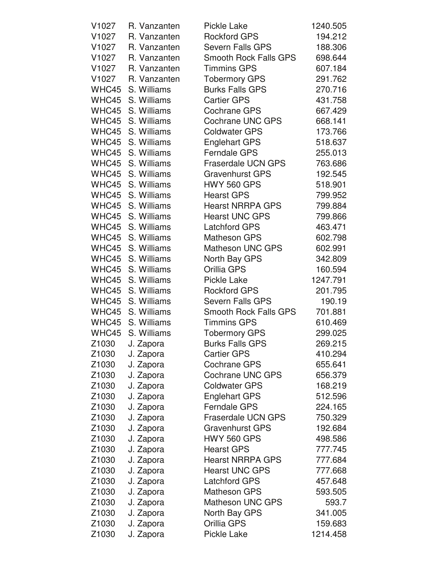| V <sub>1027</sub> | R. Vanzanten      | <b>Pickle Lake</b>           | 1240.505 |
|-------------------|-------------------|------------------------------|----------|
| V1027             | R. Vanzanten      | <b>Rockford GPS</b>          | 194.212  |
| V1027             | R. Vanzanten      | <b>Severn Falls GPS</b>      | 188.306  |
| V1027             | R. Vanzanten      | <b>Smooth Rock Falls GPS</b> | 698.644  |
| V1027             | R. Vanzanten      | <b>Timmins GPS</b>           | 607.184  |
| V1027             | R. Vanzanten      | <b>Tobermory GPS</b>         | 291.762  |
| WHC45             | S. Williams       | <b>Burks Falls GPS</b>       | 270.716  |
| WHC45             | S. Williams       | <b>Cartier GPS</b>           | 431.758  |
| WHC45             | S. Williams       | <b>Cochrane GPS</b>          | 667.429  |
| WHC45             | S. Williams       | <b>Cochrane UNC GPS</b>      | 668.141  |
| WHC45             | S. Williams       | <b>Coldwater GPS</b>         | 173.766  |
| WHC45             | S. Williams       | <b>Englehart GPS</b>         | 518.637  |
| WHC45             | S. Williams       | <b>Ferndale GPS</b>          | 255.013  |
| WHC45             | S. Williams       | <b>Fraserdale UCN GPS</b>    | 763.686  |
| WHC45             | S. Williams       | <b>Gravenhurst GPS</b>       | 192.545  |
| WHC45             | S. Williams       | <b>HWY 560 GPS</b>           | 518.901  |
| WHC45             | S. Williams       | <b>Hearst GPS</b>            | 799.952  |
|                   | WHC45 S. Williams | <b>Hearst NRRPA GPS</b>      | 799.884  |
| WHC45             | S. Williams       | <b>Hearst UNC GPS</b>        | 799.866  |
|                   | WHC45 S. Williams | Latchford GPS                | 463.471  |
| WHC45             | S. Williams       | <b>Matheson GPS</b>          | 602.798  |
| WHC45             | S. Williams       | <b>Matheson UNC GPS</b>      | 602.991  |
| WHC45             | S. Williams       | North Bay GPS                | 342.809  |
| WHC45             | S. Williams       | Orillia GPS                  | 160.594  |
| WHC45             | S. Williams       | <b>Pickle Lake</b>           | 1247.791 |
| WHC45             | S. Williams       | <b>Rockford GPS</b>          | 201.795  |
| WHC45             | S. Williams       | <b>Severn Falls GPS</b>      | 190.19   |
| WHC45             | S. Williams       | <b>Smooth Rock Falls GPS</b> | 701.881  |
|                   | WHC45 S. Williams | <b>Timmins GPS</b>           | 610.469  |
| WHC45             | S. Williams       | <b>Tobermory GPS</b>         | 299.025  |
|                   | Z1030 J. Zapora   | <b>Burks Falls GPS</b>       | 269.215  |
| Z <sub>1030</sub> | J. Zapora         | <b>Cartier GPS</b>           | 410.294  |
| Z <sub>1030</sub> | J. Zapora         | <b>Cochrane GPS</b>          | 655.641  |
| Z <sub>1030</sub> | J. Zapora         | <b>Cochrane UNC GPS</b>      | 656.379  |
| Z <sub>1030</sub> | J. Zapora         | <b>Coldwater GPS</b>         | 168.219  |
| Z1030             | J. Zapora         | <b>Englehart GPS</b>         | 512.596  |
| Z <sub>1030</sub> | J. Zapora         | <b>Ferndale GPS</b>          | 224.165  |
| Z1030             | J. Zapora         | <b>Fraserdale UCN GPS</b>    | 750.329  |
| Z <sub>1030</sub> | J. Zapora         | <b>Gravenhurst GPS</b>       | 192.684  |
| Z1030             | J. Zapora         | <b>HWY 560 GPS</b>           | 498.586  |
| Z <sub>1030</sub> | J. Zapora         | <b>Hearst GPS</b>            | 777.745  |
| Z <sub>1030</sub> | J. Zapora         | <b>Hearst NRRPA GPS</b>      | 777.684  |
| Z <sub>1030</sub> | J. Zapora         | <b>Hearst UNC GPS</b>        | 777.668  |
| Z1030             | J. Zapora         | <b>Latchford GPS</b>         | 457.648  |
| Z <sub>1030</sub> | J. Zapora         | <b>Matheson GPS</b>          | 593.505  |
| Z <sub>1030</sub> | J. Zapora         | <b>Matheson UNC GPS</b>      | 593.7    |
| Z <sub>1030</sub> | J. Zapora         | North Bay GPS                | 341.005  |
| Z <sub>1030</sub> | J. Zapora         | Orillia GPS                  | 159.683  |
| Z1030             | J. Zapora         | <b>Pickle Lake</b>           | 1214.458 |